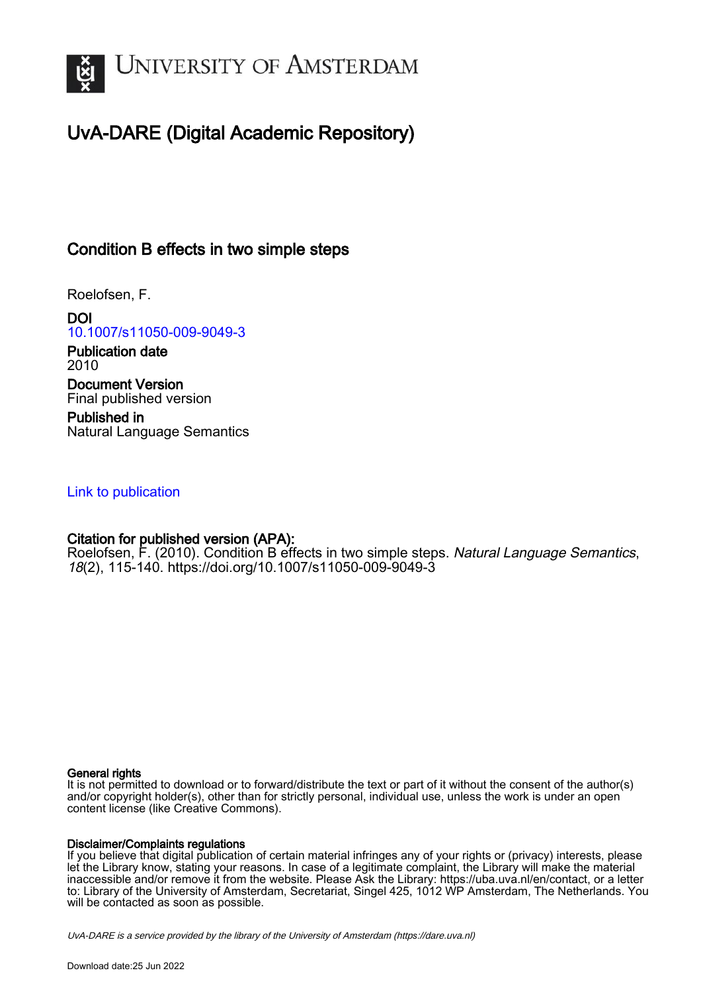

# UvA-DARE (Digital Academic Repository)

## Condition B effects in two simple steps

Roelofsen, F.

DOI [10.1007/s11050-009-9049-3](https://doi.org/10.1007/s11050-009-9049-3)

Publication date 2010 Document Version Final published version

Published in Natural Language Semantics

## [Link to publication](https://dare.uva.nl/personal/pure/en/publications/condition-b-effects-in-two-simple-steps(2c5b40e3-eda0-4e09-b9d9-579f19916254).html)

## Citation for published version (APA):

Roelofsen, F. (2010). Condition B effects in two simple steps. Natural Language Semantics, 18(2), 115-140.<https://doi.org/10.1007/s11050-009-9049-3>

## General rights

It is not permitted to download or to forward/distribute the text or part of it without the consent of the author(s) and/or copyright holder(s), other than for strictly personal, individual use, unless the work is under an open content license (like Creative Commons).

## Disclaimer/Complaints regulations

If you believe that digital publication of certain material infringes any of your rights or (privacy) interests, please let the Library know, stating your reasons. In case of a legitimate complaint, the Library will make the material inaccessible and/or remove it from the website. Please Ask the Library: https://uba.uva.nl/en/contact, or a letter to: Library of the University of Amsterdam, Secretariat, Singel 425, 1012 WP Amsterdam, The Netherlands. You will be contacted as soon as possible.

UvA-DARE is a service provided by the library of the University of Amsterdam (http*s*://dare.uva.nl)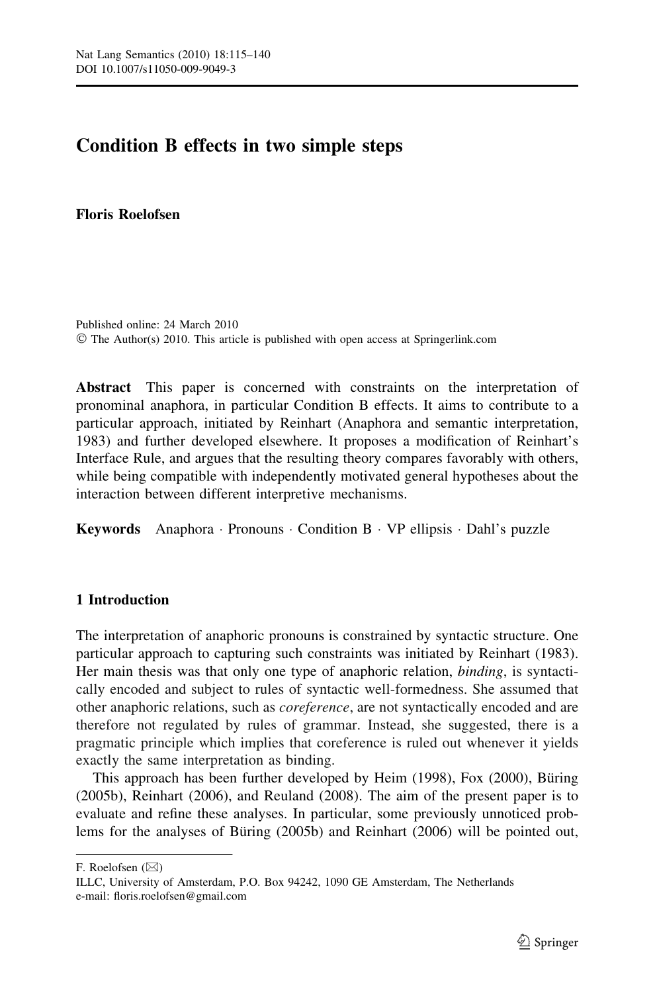## Condition B effects in two simple steps

#### Floris Roelofsen

Published online: 24 March 2010 © The Author(s) 2010. This article is published with open access at Springerlink.com

Abstract This paper is concerned with constraints on the interpretation of pronominal anaphora, in particular Condition B effects. It aims to contribute to a particular approach, initiated by Reinhart (Anaphora and semantic interpretation, 1983) and further developed elsewhere. It proposes a modification of Reinhart's Interface Rule, and argues that the resulting theory compares favorably with others, while being compatible with independently motivated general hypotheses about the interaction between different interpretive mechanisms.

Keywords Anaphora · Pronouns · Condition B · VP ellipsis · Dahl's puzzle

## 1 Introduction

The interpretation of anaphoric pronouns is constrained by syntactic structure. One particular approach to capturing such constraints was initiated by Reinhart (1983). Her main thesis was that only one type of anaphoric relation, *binding*, is syntactically encoded and subject to rules of syntactic well-formedness. She assumed that other anaphoric relations, such as coreference, are not syntactically encoded and are therefore not regulated by rules of grammar. Instead, she suggested, there is a pragmatic principle which implies that coreference is ruled out whenever it yields exactly the same interpretation as binding.

This approach has been further developed by Heim (1998), Fox (2000), Büring (2005b), Reinhart (2006), and Reuland (2008). The aim of the present paper is to evaluate and refine these analyses. In particular, some previously unnoticed problems for the analyses of Büring (2005b) and Reinhart (2006) will be pointed out,

F. Roelofsen  $(\boxtimes)$ 

ILLC, University of Amsterdam, P.O. Box 94242, 1090 GE Amsterdam, The Netherlands e-mail: floris.roelofsen@gmail.com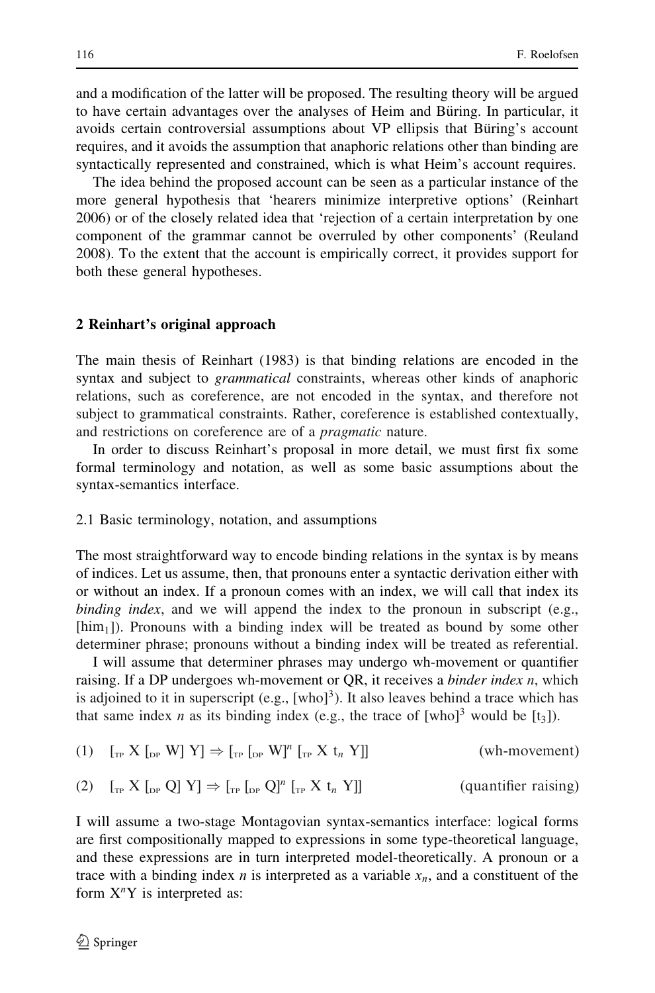and a modification of the latter will be proposed. The resulting theory will be argued to have certain advantages over the analyses of Heim and Büring. In particular, it avoids certain controversial assumptions about VP ellipsis that Büring's account requires, and it avoids the assumption that anaphoric relations other than binding are syntactically represented and constrained, which is what Heim's account requires.

The idea behind the proposed account can be seen as a particular instance of the more general hypothesis that 'hearers minimize interpretive options' (Reinhart 2006) or of the closely related idea that 'rejection of a certain interpretation by one component of the grammar cannot be overruled by other components' (Reuland 2008). To the extent that the account is empirically correct, it provides support for both these general hypotheses.

#### 2 Reinhart's original approach

The main thesis of Reinhart (1983) is that binding relations are encoded in the syntax and subject to *grammatical* constraints, whereas other kinds of anaphoric relations, such as coreference, are not encoded in the syntax, and therefore not subject to grammatical constraints. Rather, coreference is established contextually, and restrictions on coreference are of a pragmatic nature.

In order to discuss Reinhart's proposal in more detail, we must first fix some formal terminology and notation, as well as some basic assumptions about the syntax-semantics interface.

#### 2.1 Basic terminology, notation, and assumptions

The most straightforward way to encode binding relations in the syntax is by means of indices. Let us assume, then, that pronouns enter a syntactic derivation either with or without an index. If a pronoun comes with an index, we will call that index its binding index, and we will append the index to the pronoun in subscript (e.g.,  $[\text{him}_1]$ ). Pronouns with a binding index will be treated as bound by some other determiner phrase; pronouns without a binding index will be treated as referential.

I will assume that determiner phrases may undergo wh-movement or quantifier raising. If a DP undergoes wh-movement or OR, it receives a *binder index n*, which is adjoined to it in superscript (e.g.,  $[who]^3$ ). It also leaves behind a trace which has that same index *n* as its binding index (e.g., the trace of  $[who]<sup>3</sup>$  would be  $[t<sub>3</sub>])$ .

$$
(1) \quad [{}_{\text{TP}} X [{}_{\text{DP}} W] Y] \Rightarrow [{}_{\text{TP}} [{}_{\text{DP}} W]^n [{}_{\text{TP}} X t_n Y]] \tag{wh-movement}
$$

(2) 
$$
[{}_{\text{TP}} X [{}_{\text{DP}} Q] Y] \Rightarrow [{}_{\text{TP}} [{}_{\text{DP}} Q]^{n} [{}_{\text{TP}} X t_{n} Y]]
$$
 (quantifier raising)

I will assume a two-stage Montagovian syntax-semantics interface: logical forms are first compositionally mapped to expressions in some type-theoretical language, and these expressions are in turn interpreted model-theoretically. A pronoun or a trace with a binding index *n* is interpreted as a variable  $x_n$ , and a constituent of the form  $X<sup>n</sup>Y$  is interpreted as: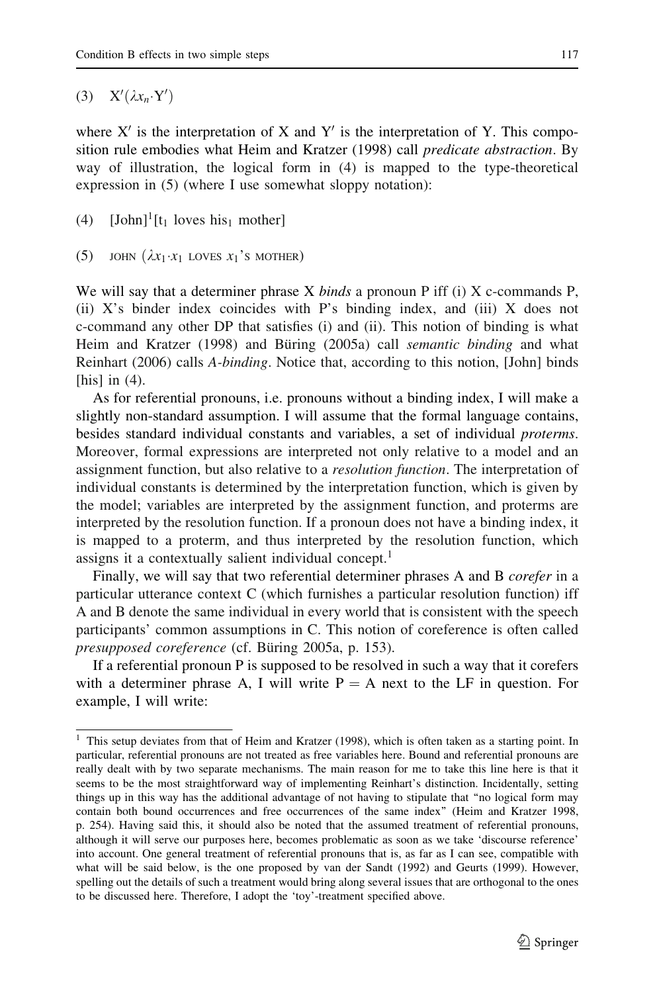## (3)  $X'(\lambda x_n \cdot Y')$

where  $X'$  is the interpretation of X and Y' is the interpretation of Y. This composition rule embodies what Heim and Kratzer (1998) call *predicate abstraction*. By way of illustration, the logical form in (4) is mapped to the type-theoretical expression in (5) (where I use somewhat sloppy notation):

- (4)  $[John]^1[t_1]$  loves his<sub>1</sub> mother]
- (5) JOHN  $(\lambda x_1 \cdot x_1 \text{ Loves } x_1 \text{'s mother})$

We will say that a determiner phrase X *binds* a pronoun P iff (i) X c-commands P, (ii) X's binder index coincides with P's binding index, and (iii) X does not c-command any other DP that satisfies (i) and (ii). This notion of binding is what Heim and Kratzer (1998) and Büring (2005a) call *semantic binding* and what Reinhart (2006) calls A-binding. Notice that, according to this notion, [John] binds [his] in  $(4)$ .

As for referential pronouns, i.e. pronouns without a binding index, I will make a slightly non-standard assumption. I will assume that the formal language contains, besides standard individual constants and variables, a set of individual proterms. Moreover, formal expressions are interpreted not only relative to a model and an assignment function, but also relative to a resolution function. The interpretation of individual constants is determined by the interpretation function, which is given by the model; variables are interpreted by the assignment function, and proterms are interpreted by the resolution function. If a pronoun does not have a binding index, it is mapped to a proterm, and thus interpreted by the resolution function, which assigns it a contextually salient individual concept.<sup>1</sup>

Finally, we will say that two referential determiner phrases A and B *corefer* in a particular utterance context C (which furnishes a particular resolution function) iff A and B denote the same individual in every world that is consistent with the speech participants' common assumptions in C. This notion of coreference is often called presupposed coreference (cf. Büring 2005a, p. 153).

If a referential pronoun P is supposed to be resolved in such a way that it corefers with a determiner phrase A, I will write  $P = A$  next to the LF in question. For example, I will write:

<sup>&</sup>lt;sup>1</sup> This setup deviates from that of Heim and Kratzer (1998), which is often taken as a starting point. In particular, referential pronouns are not treated as free variables here. Bound and referential pronouns are really dealt with by two separate mechanisms. The main reason for me to take this line here is that it seems to be the most straightforward way of implementing Reinhart's distinction. Incidentally, setting things up in this way has the additional advantage of not having to stipulate that ''no logical form may contain both bound occurrences and free occurrences of the same index'' (Heim and Kratzer 1998, p. 254). Having said this, it should also be noted that the assumed treatment of referential pronouns, although it will serve our purposes here, becomes problematic as soon as we take 'discourse reference' into account. One general treatment of referential pronouns that is, as far as I can see, compatible with what will be said below, is the one proposed by van der Sandt (1992) and Geurts (1999). However, spelling out the details of such a treatment would bring along several issues that are orthogonal to the ones to be discussed here. Therefore, I adopt the 'toy'-treatment specified above.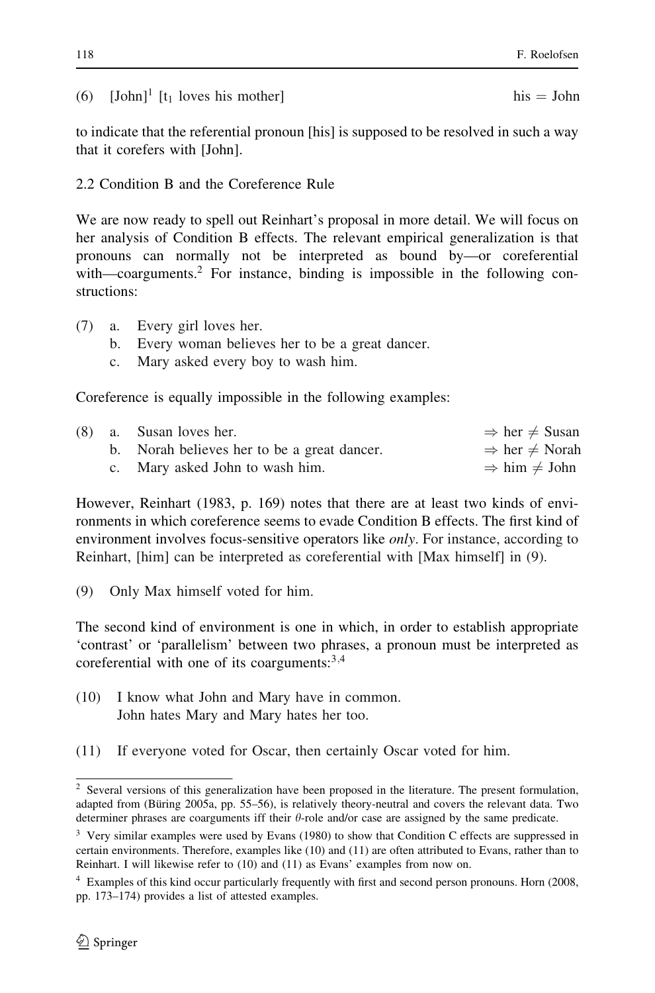(6)  $[John]^1$   $[t_1]$  loves his mother] his = John

to indicate that the referential pronoun [his] is supposed to be resolved in such a way that it corefers with [John].

2.2 Condition B and the Coreference Rule

We are now ready to spell out Reinhart's proposal in more detail. We will focus on her analysis of Condition B effects. The relevant empirical generalization is that pronouns can normally not be interpreted as bound by—or coreferential with—coarguments.<sup>2</sup> For instance, binding is impossible in the following constructions:

- (7) a. Every girl loves her.
	- b. Every woman believes her to be a great dancer.
	- c. Mary asked every boy to wash him.

Coreference is equally impossible in the following examples:

|  | (8) a. Susan loves her.                     | $\Rightarrow$ her $\neq$ Susan |
|--|---------------------------------------------|--------------------------------|
|  | b. Norah believes her to be a great dancer. | $\Rightarrow$ her $\neq$ Norah |
|  | c. Mary asked John to wash him.             | $\Rightarrow$ him $\neq$ John  |

However, Reinhart (1983, p. 169) notes that there are at least two kinds of environments in which coreference seems to evade Condition B effects. The first kind of environment involves focus-sensitive operators like *only*. For instance, according to Reinhart, [him] can be interpreted as coreferential with [Max himself] in (9).

(9) Only Max himself voted for him.

The second kind of environment is one in which, in order to establish appropriate 'contrast' or 'parallelism' between two phrases, a pronoun must be interpreted as coreferential with one of its coarguments: $3,4$ 

- (10) I know what John and Mary have in common. John hates Mary and Mary hates her too.
- (11) If everyone voted for Oscar, then certainly Oscar voted for him.

<sup>&</sup>lt;sup>2</sup> Several versions of this generalization have been proposed in the literature. The present formulation, adapted from (Büring 2005a, pp. 55–56), is relatively theory-neutral and covers the relevant data. Two determiner phrases are coarguments iff their  $\theta$ -role and/or case are assigned by the same predicate.

<sup>&</sup>lt;sup>3</sup> Very similar examples were used by Evans (1980) to show that Condition C effects are suppressed in certain environments. Therefore, examples like (10) and (11) are often attributed to Evans, rather than to Reinhart. I will likewise refer to (10) and (11) as Evans' examples from now on.

<sup>4</sup> Examples of this kind occur particularly frequently with first and second person pronouns. Horn (2008, pp. 173–174) provides a list of attested examples.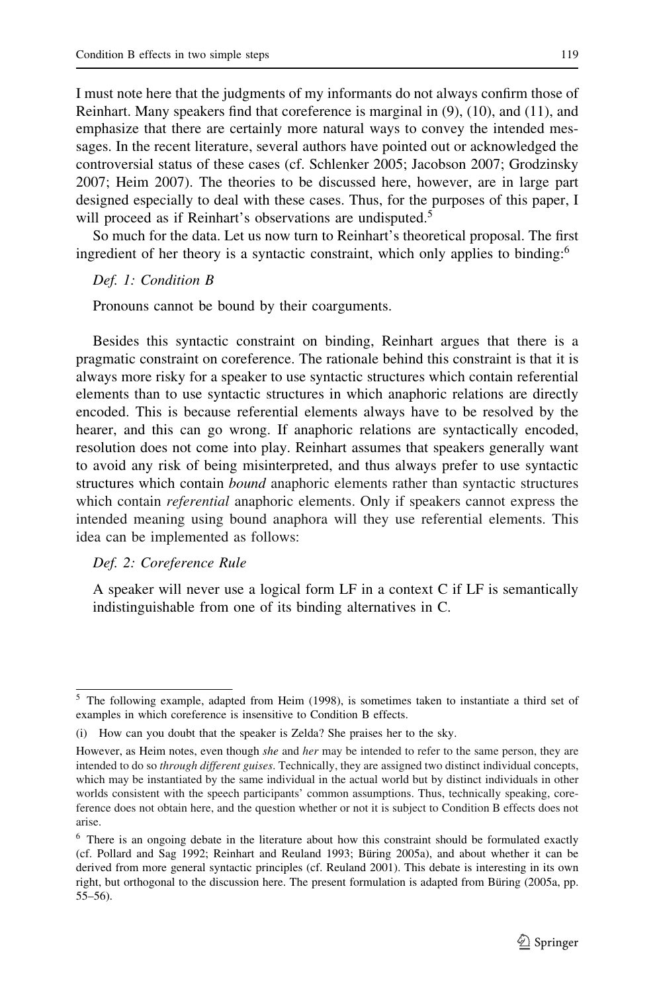I must note here that the judgments of my informants do not always confirm those of Reinhart. Many speakers find that coreference is marginal in (9), (10), and (11), and emphasize that there are certainly more natural ways to convey the intended messages. In the recent literature, several authors have pointed out or acknowledged the controversial status of these cases (cf. Schlenker 2005; Jacobson 2007; Grodzinsky 2007; Heim 2007). The theories to be discussed here, however, are in large part designed especially to deal with these cases. Thus, for the purposes of this paper, I

So much for the data. Let us now turn to Reinhart's theoretical proposal. The first ingredient of her theory is a syntactic constraint, which only applies to binding:<sup>6</sup>

Def. 1: Condition B

Pronouns cannot be bound by their coarguments.

will proceed as if Reinhart's observations are undisputed.<sup>5</sup>

Besides this syntactic constraint on binding, Reinhart argues that there is a pragmatic constraint on coreference. The rationale behind this constraint is that it is always more risky for a speaker to use syntactic structures which contain referential elements than to use syntactic structures in which anaphoric relations are directly encoded. This is because referential elements always have to be resolved by the hearer, and this can go wrong. If anaphoric relations are syntactically encoded, resolution does not come into play. Reinhart assumes that speakers generally want to avoid any risk of being misinterpreted, and thus always prefer to use syntactic structures which contain *bound* anaphoric elements rather than syntactic structures which contain *referential* anaphoric elements. Only if speakers cannot express the intended meaning using bound anaphora will they use referential elements. This idea can be implemented as follows:

#### Def. 2: Coreference Rule

A speaker will never use a logical form LF in a context C if LF is semantically indistinguishable from one of its binding alternatives in C.

<sup>5</sup> The following example, adapted from Heim (1998), is sometimes taken to instantiate a third set of examples in which coreference is insensitive to Condition B effects.

<sup>(</sup>i) How can you doubt that the speaker is Zelda? She praises her to the sky.

However, as Heim notes, even though *she* and *her* may be intended to refer to the same person, they are intended to do so through different guises. Technically, they are assigned two distinct individual concepts, which may be instantiated by the same individual in the actual world but by distinct individuals in other worlds consistent with the speech participants' common assumptions. Thus, technically speaking, coreference does not obtain here, and the question whether or not it is subject to Condition B effects does not arise.

<sup>&</sup>lt;sup>6</sup> There is an ongoing debate in the literature about how this constraint should be formulated exactly (cf. Pollard and Sag 1992; Reinhart and Reuland 1993; Büring 2005a), and about whether it can be derived from more general syntactic principles (cf. Reuland 2001). This debate is interesting in its own right, but orthogonal to the discussion here. The present formulation is adapted from Büring (2005a, pp. 55–56).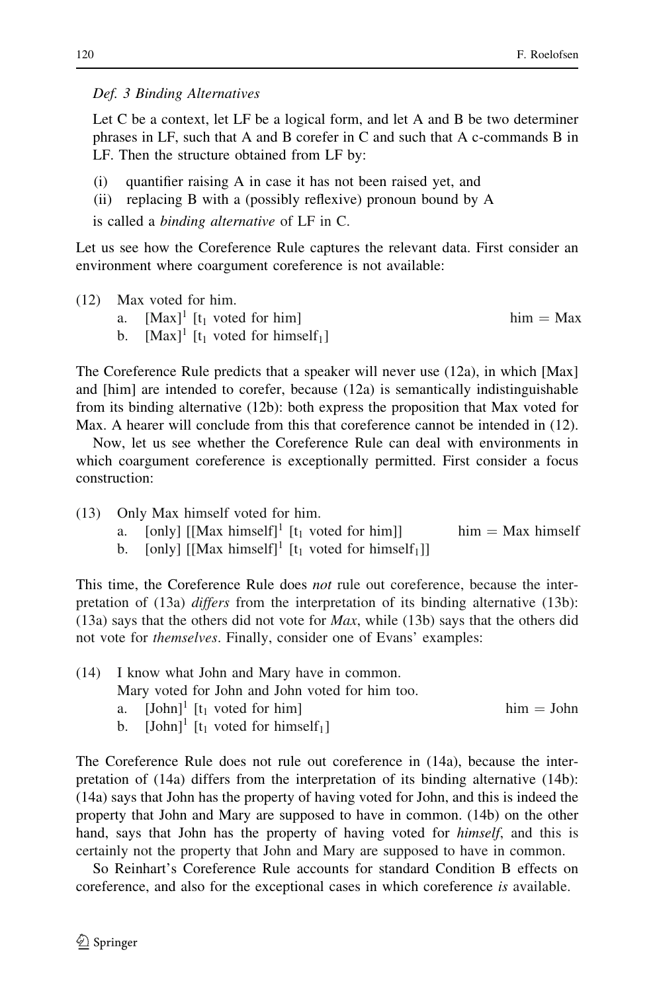### Def. 3 Binding Alternatives

Let C be a context, let LF be a logical form, and let A and B be two determiner phrases in LF, such that A and B corefer in C and such that A c-commands B in LF. Then the structure obtained from LF by:

- (i) quantifier raising A in case it has not been raised yet, and
- (ii) replacing B with a (possibly reflexive) pronoun bound by A

is called a binding alternative of LF in C.

Let us see how the Coreference Rule captures the relevant data. First consider an environment where coargument coreference is not available:

- (12) Max voted for him.
	- a.  $[Max]^1$  [t<sub>1</sub> voted for him] him = Max<br>b.  $[Max]^1$  [t<sub>1</sub> voted for himself<sub>1</sub>]
	- $[Max]^1$  [t<sub>1</sub> voted for himself<sub>1</sub>]

The Coreference Rule predicts that a speaker will never use (12a), in which [Max] and [him] are intended to corefer, because (12a) is semantically indistinguishable from its binding alternative (12b): both express the proposition that Max voted for Max. A hearer will conclude from this that coreference cannot be intended in (12).

Now, let us see whether the Coreference Rule can deal with environments in which coargument coreference is exceptionally permitted. First consider a focus construction:

- (13) Only Max himself voted for him.
	- a. [only]  $\left[\text{Max himself} \right]$ <sup>1</sup>  $\left[t_1 \text{ voted for him}\right]$  him = Max himself
	- b. [only] [[Max himself]<sup>1</sup> [t<sub>1</sub> voted for himself<sub>1</sub>]]

This time, the Coreference Rule does *not* rule out coreference, because the interpretation of (13a) differs from the interpretation of its binding alternative (13b):  $(13a)$  says that the others did not vote for *Max*, while (13b) says that the others did not vote for themselves. Finally, consider one of Evans' examples:

(14) I know what John and Mary have in common.

Mary voted for John and John voted for him too.

a.  $[John]^1$  [t<sub>1</sub> voted for him] him = John

b.  $[John]^1$  [t<sub>1</sub> voted for himself<sub>1</sub>]

The Coreference Rule does not rule out coreference in (14a), because the interpretation of (14a) differs from the interpretation of its binding alternative (14b): (14a) says that John has the property of having voted for John, and this is indeed the property that John and Mary are supposed to have in common. (14b) on the other hand, says that John has the property of having voted for *himself*, and this is certainly not the property that John and Mary are supposed to have in common.

So Reinhart's Coreference Rule accounts for standard Condition B effects on coreference, and also for the exceptional cases in which coreference is available.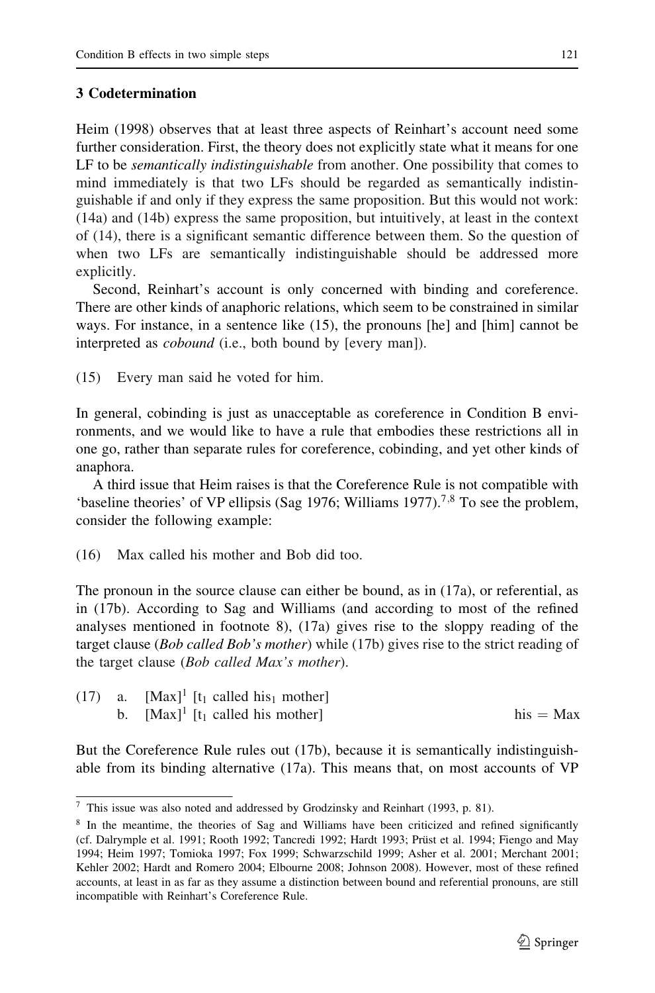#### 3 Codetermination

Heim (1998) observes that at least three aspects of Reinhart's account need some further consideration. First, the theory does not explicitly state what it means for one LF to be *semantically indistinguishable* from another. One possibility that comes to mind immediately is that two LFs should be regarded as semantically indistinguishable if and only if they express the same proposition. But this would not work: (14a) and (14b) express the same proposition, but intuitively, at least in the context of (14), there is a significant semantic difference between them. So the question of when two LFs are semantically indistinguishable should be addressed more explicitly.

Second, Reinhart's account is only concerned with binding and coreference. There are other kinds of anaphoric relations, which seem to be constrained in similar ways. For instance, in a sentence like (15), the pronouns [he] and [him] cannot be interpreted as *cobound* (i.e., both bound by [every man]).

(15) Every man said he voted for him.

In general, cobinding is just as unacceptable as coreference in Condition B environments, and we would like to have a rule that embodies these restrictions all in one go, rather than separate rules for coreference, cobinding, and yet other kinds of anaphora.

A third issue that Heim raises is that the Coreference Rule is not compatible with 'baseline theories' of VP ellipsis (Sag 1976; Williams 1977).<sup>7,8</sup> To see the problem, consider the following example:

(16) Max called his mother and Bob did too.

The pronoun in the source clause can either be bound, as in (17a), or referential, as in (17b). According to Sag and Williams (and according to most of the refined analyses mentioned in footnote 8), (17a) gives rise to the sloppy reading of the target clause (*Bob called Bob's mother*) while (17b) gives rise to the strict reading of the target clause (Bob called Max's mother).

|  | (17) a. $[Max]^1$ [t <sub>1</sub> called his <sub>1</sub> mother] |             |
|--|-------------------------------------------------------------------|-------------|
|  | [Max] <sup>1</sup> [t <sub>1</sub> called his mother]             | $his = Max$ |

But the Coreference Rule rules out (17b), because it is semantically indistinguishable from its binding alternative (17a). This means that, on most accounts of VP

<sup>7</sup> This issue was also noted and addressed by Grodzinsky and Reinhart (1993, p. 81).

<sup>8</sup> In the meantime, the theories of Sag and Williams have been criticized and refined significantly (cf. Dalrymple et al. 1991; Rooth 1992; Tancredi 1992; Hardt 1993; Prüst et al. 1994; Fiengo and May 1994; Heim 1997; Tomioka 1997; Fox 1999; Schwarzschild 1999; Asher et al. 2001; Merchant 2001; Kehler 2002; Hardt and Romero 2004; Elbourne 2008; Johnson 2008). However, most of these refined accounts, at least in as far as they assume a distinction between bound and referential pronouns, are still incompatible with Reinhart's Coreference Rule.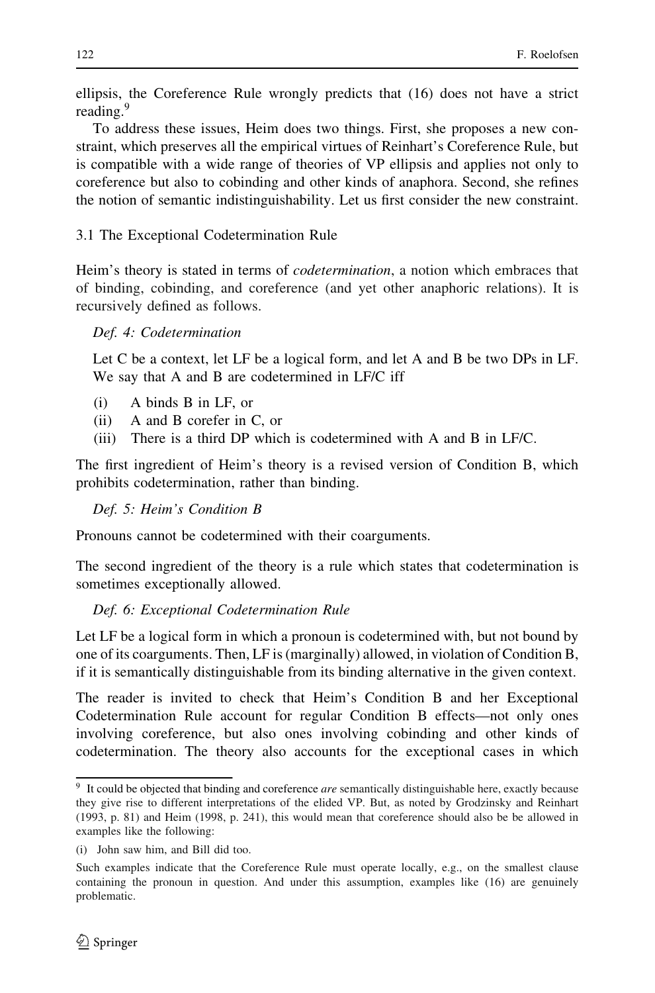ellipsis, the Coreference Rule wrongly predicts that (16) does not have a strict reading.<sup>9</sup>

To address these issues, Heim does two things. First, she proposes a new constraint, which preserves all the empirical virtues of Reinhart's Coreference Rule, but is compatible with a wide range of theories of VP ellipsis and applies not only to coreference but also to cobinding and other kinds of anaphora. Second, she refines the notion of semantic indistinguishability. Let us first consider the new constraint.

## 3.1 The Exceptional Codetermination Rule

Heim's theory is stated in terms of *codetermination*, a notion which embraces that of binding, cobinding, and coreference (and yet other anaphoric relations). It is recursively defined as follows.

## Def. 4: Codetermination

Let C be a context, let LF be a logical form, and let A and B be two DPs in LF. We say that A and B are codetermined in LF/C iff

- (i) A binds B in LF, or
- (ii) A and B corefer in C, or
- (iii) There is a third DP which is codetermined with A and B in LF/C.

The first ingredient of Heim's theory is a revised version of Condition B, which prohibits codetermination, rather than binding.

Def. 5: Heim's Condition B

Pronouns cannot be codetermined with their coarguments.

The second ingredient of the theory is a rule which states that codetermination is sometimes exceptionally allowed.

## Def. 6: Exceptional Codetermination Rule

Let LF be a logical form in which a pronoun is codetermined with, but not bound by one of its coarguments. Then, LF is (marginally) allowed, in violation of Condition B, if it is semantically distinguishable from its binding alternative in the given context.

The reader is invited to check that Heim's Condition B and her Exceptional Codetermination Rule account for regular Condition B effects—not only ones involving coreference, but also ones involving cobinding and other kinds of codetermination. The theory also accounts for the exceptional cases in which

 $9\,$  It could be objected that binding and coreference are semantically distinguishable here, exactly because they give rise to different interpretations of the elided VP. But, as noted by Grodzinsky and Reinhart (1993, p. 81) and Heim (1998, p. 241), this would mean that coreference should also be be allowed in examples like the following:

<sup>(</sup>i) John saw him, and Bill did too.

Such examples indicate that the Coreference Rule must operate locally, e.g., on the smallest clause containing the pronoun in question. And under this assumption, examples like (16) are genuinely problematic.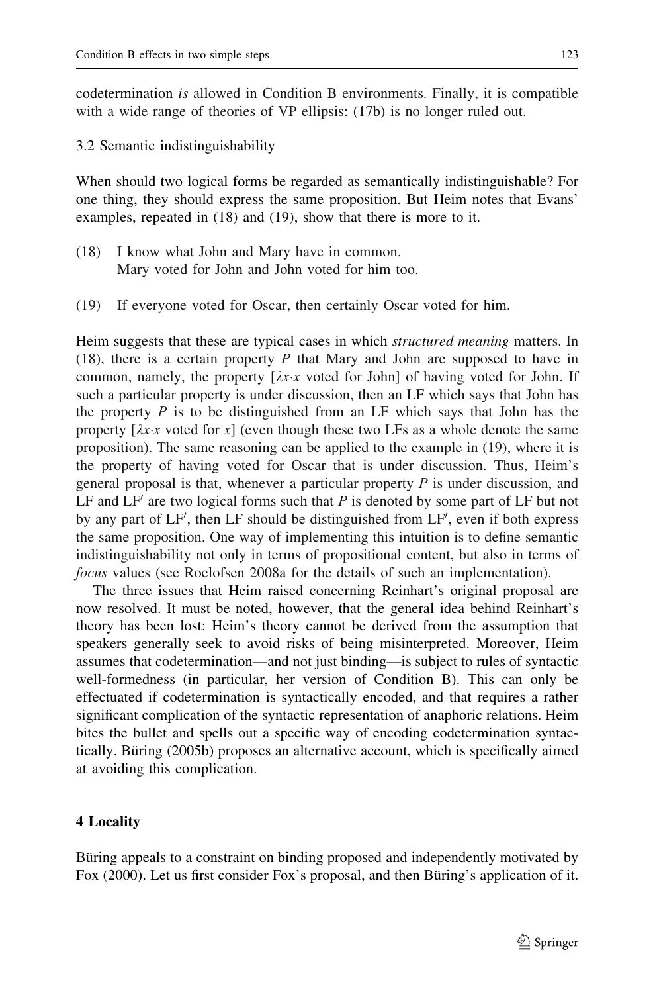codetermination is allowed in Condition B environments. Finally, it is compatible with a wide range of theories of VP ellipsis: (17b) is no longer ruled out.

3.2 Semantic indistinguishability

When should two logical forms be regarded as semantically indistinguishable? For one thing, they should express the same proposition. But Heim notes that Evans' examples, repeated in (18) and (19), show that there is more to it.

- (18) I know what John and Mary have in common. Mary voted for John and John voted for him too.
- (19) If everyone voted for Oscar, then certainly Oscar voted for him.

Heim suggests that these are typical cases in which *structured meaning* matters. In (18), there is a certain property  $P$  that Mary and John are supposed to have in common, namely, the property  $[\lambda x \cdot x$  voted for John] of having voted for John. If such a particular property is under discussion, then an LF which says that John has the property  $P$  is to be distinguished from an LF which says that John has the property  $[\lambda x \cdot x]$  voted for x q (even though these two LFs as a whole denote the same proposition). The same reasoning can be applied to the example in (19), where it is the property of having voted for Oscar that is under discussion. Thus, Heim's general proposal is that, whenever a particular property  $P$  is under discussion, and LF and LF' are two logical forms such that P is denoted by some part of LF but not by any part of LF', then LF should be distinguished from LF', even if both express the same proposition. One way of implementing this intuition is to define semantic indistinguishability not only in terms of propositional content, but also in terms of focus values (see Roelofsen 2008a for the details of such an implementation).

The three issues that Heim raised concerning Reinhart's original proposal are now resolved. It must be noted, however, that the general idea behind Reinhart's theory has been lost: Heim's theory cannot be derived from the assumption that speakers generally seek to avoid risks of being misinterpreted. Moreover, Heim assumes that codetermination—and not just binding—is subject to rules of syntactic well-formedness (in particular, her version of Condition B). This can only be effectuated if codetermination is syntactically encoded, and that requires a rather significant complication of the syntactic representation of anaphoric relations. Heim bites the bullet and spells out a specific way of encoding codetermination syntactically. Büring (2005b) proposes an alternative account, which is specifically aimed at avoiding this complication.

#### 4 Locality

Buting appeals to a constraint on binding proposed and independently motivated by Fox (2000). Let us first consider Fox's proposal, and then Buring's application of it.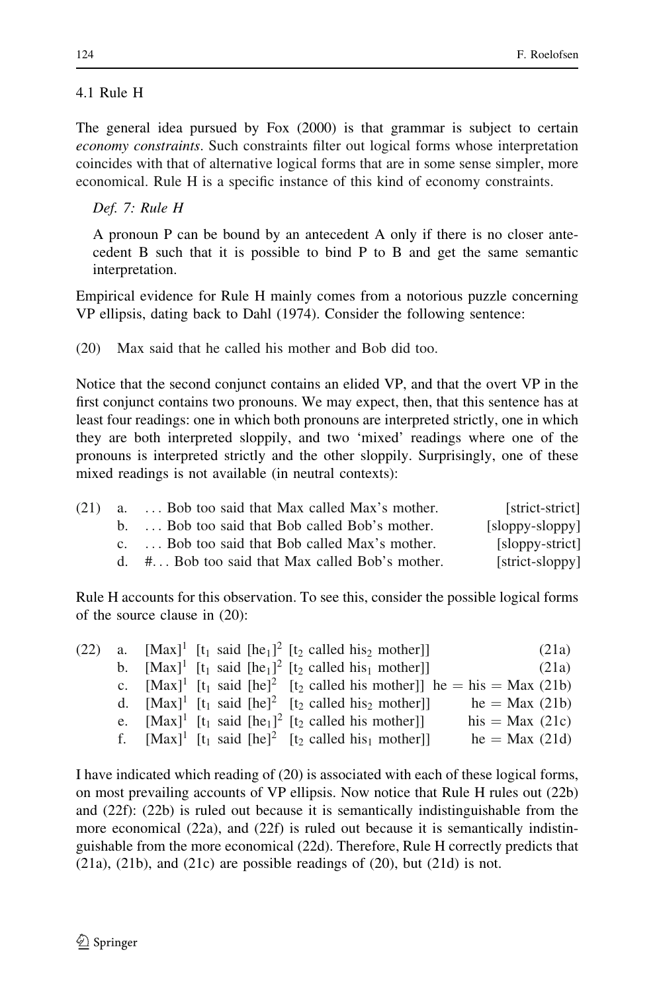### 4.1 Rule H

The general idea pursued by Fox (2000) is that grammar is subject to certain economy constraints. Such constraints filter out logical forms whose interpretation coincides with that of alternative logical forms that are in some sense simpler, more economical. Rule H is a specific instance of this kind of economy constraints.

Def. 7: Rule H

A pronoun P can be bound by an antecedent A only if there is no closer antecedent B such that it is possible to bind P to B and get the same semantic interpretation.

Empirical evidence for Rule H mainly comes from a notorious puzzle concerning VP ellipsis, dating back to Dahl (1974). Consider the following sentence:

(20) Max said that he called his mother and Bob did too.

Notice that the second conjunct contains an elided VP, and that the overt VP in the first conjunct contains two pronouns. We may expect, then, that this sentence has at least four readings: one in which both pronouns are interpreted strictly, one in which they are both interpreted sloppily, and two 'mixed' readings where one of the pronouns is interpreted strictly and the other sloppily. Surprisingly, one of these mixed readings is not available (in neutral contexts):

|  | $(21)$ a.  Bob too said that Max called Max's mother.      | [strict-strict] |
|--|------------------------------------------------------------|-----------------|
|  | b.  Bob too said that Bob called Bob's mother.             | [sloppy-sloppy] |
|  | c.  Bob too said that Bob called Max's mother.             | [sloppy-strict] |
|  | $\mu$ , $\mu$ , Bob too said that Max called Bob's mother. | [strict-sloppy] |

Rule H accounts for this observation. To see this, consider the possible logical forms of the source clause in (20):

| (22) |  |  | a. $\left[\text{Max}\right]^{1}$ $\left[t_{1} \text{ said } \left[\text{he}_{1}\right]^{2} \left[t_{2} \text{ called his}_{2} \text{ mother}\right]\right]$ | (21a)             |
|------|--|--|-------------------------------------------------------------------------------------------------------------------------------------------------------------|-------------------|
|      |  |  | b. $\left[\text{Max}\right]^{1}$ $\left[t_1 \text{ said } \left[\text{he}_1\right]^{2} \left[t_2 \text{ called his}_1 \text{ mother}\right]\right]$         | (21a)             |
|      |  |  | c. $[Max]^1$ $[t_1$ said $[he]^2$ $[t_2$ called his mother]] he = his = Max (21b)                                                                           |                   |
|      |  |  | d. $[Max]^1$ $[t_1$ said $[he]^2$ $[t_2$ called his <sub>2</sub> mother]                                                                                    | $he = Max (21b)$  |
|      |  |  | e. $\left[\text{Max}\right]^{1}$ $\left[t_1 \text{ said } \left[\text{he}_1\right]^{2} \left[t_2 \text{ called his mother}\right]\right]$                   | his $=$ Max (21c) |
|      |  |  | f. $[Max]$ <sup>1</sup> $[t_1$ said $[he]^2$ $[t_2$ called his <sub>1</sub> mother]]                                                                        | $he = Max(21d)$   |

I have indicated which reading of (20) is associated with each of these logical forms, on most prevailing accounts of VP ellipsis. Now notice that Rule H rules out (22b) and (22f): (22b) is ruled out because it is semantically indistinguishable from the more economical (22a), and (22f) is ruled out because it is semantically indistinguishable from the more economical (22d). Therefore, Rule H correctly predicts that (21a), (21b), and (21c) are possible readings of (20), but (21d) is not.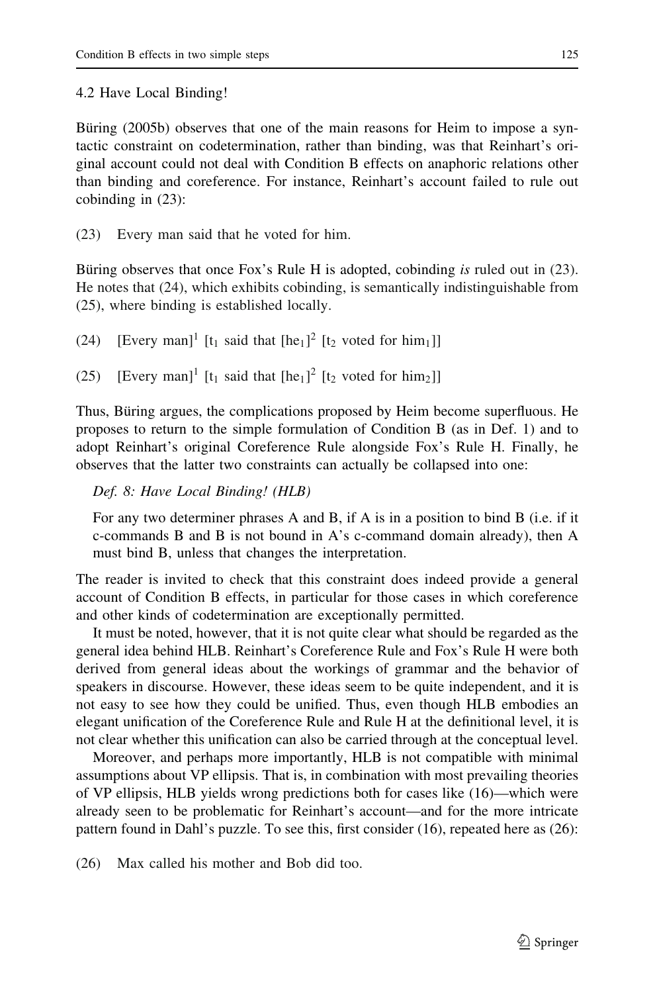Buïring (2005b) observes that one of the main reasons for Heim to impose a syntactic constraint on codetermination, rather than binding, was that Reinhart's original account could not deal with Condition B effects on anaphoric relations other than binding and coreference. For instance, Reinhart's account failed to rule out cobinding in (23):

(23) Every man said that he voted for him.

Buïring observes that once Fox's Rule H is adopted, cobinding is ruled out in (23). He notes that (24), which exhibits cobinding, is semantically indistinguishable from (25), where binding is established locally.

(24) [Every man]<sup>1</sup> [t<sub>1</sub> said that [he<sub>1</sub>]<sup>2</sup> [t<sub>2</sub> voted for him<sub>1</sub>]]

(25) [Every man]<sup>1</sup> [t<sub>1</sub> said that [he<sub>1</sub>]<sup>2</sup> [t<sub>2</sub> voted for him<sub>2</sub>]]

Thus, Büring argues, the complications proposed by Heim become superfluous. He proposes to return to the simple formulation of Condition B (as in Def. 1) and to adopt Reinhart's original Coreference Rule alongside Fox's Rule H. Finally, he observes that the latter two constraints can actually be collapsed into one:

Def. 8: Have Local Binding! (HLB)

For any two determiner phrases A and B, if A is in a position to bind B (i.e. if it c-commands B and B is not bound in A's c-command domain already), then A must bind B, unless that changes the interpretation.

The reader is invited to check that this constraint does indeed provide a general account of Condition B effects, in particular for those cases in which coreference and other kinds of codetermination are exceptionally permitted.

It must be noted, however, that it is not quite clear what should be regarded as the general idea behind HLB. Reinhart's Coreference Rule and Fox's Rule H were both derived from general ideas about the workings of grammar and the behavior of speakers in discourse. However, these ideas seem to be quite independent, and it is not easy to see how they could be unified. Thus, even though HLB embodies an elegant unification of the Coreference Rule and Rule H at the definitional level, it is not clear whether this unification can also be carried through at the conceptual level.

Moreover, and perhaps more importantly, HLB is not compatible with minimal assumptions about VP ellipsis. That is, in combination with most prevailing theories of VP ellipsis, HLB yields wrong predictions both for cases like (16)—which were already seen to be problematic for Reinhart's account—and for the more intricate pattern found in Dahl's puzzle. To see this, first consider (16), repeated here as (26):

(26) Max called his mother and Bob did too.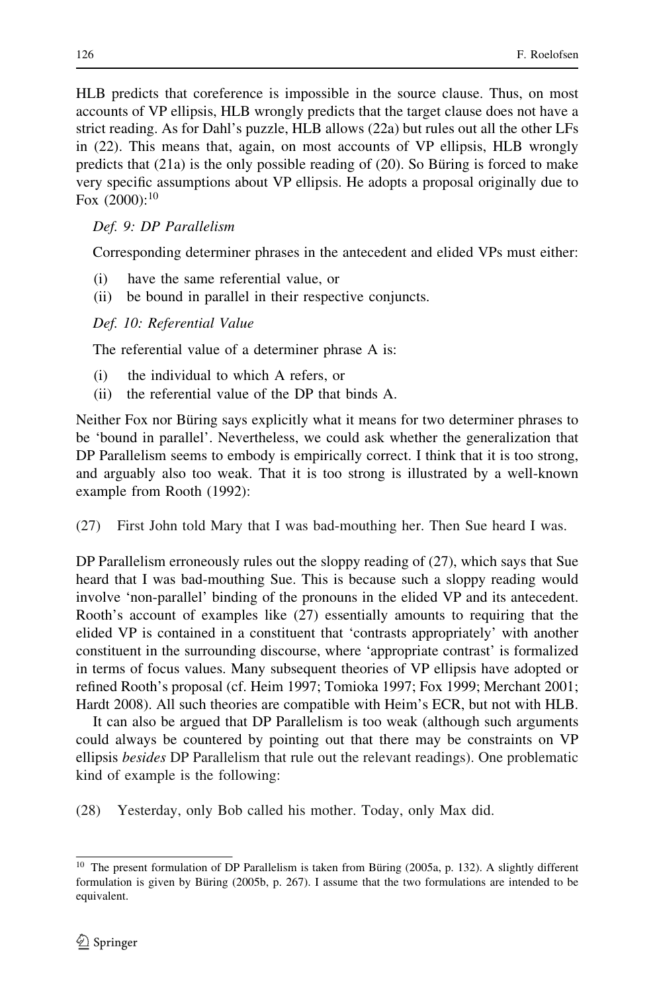HLB predicts that coreference is impossible in the source clause. Thus, on most accounts of VP ellipsis, HLB wrongly predicts that the target clause does not have a strict reading. As for Dahl's puzzle, HLB allows (22a) but rules out all the other LFs in (22). This means that, again, on most accounts of VP ellipsis, HLB wrongly predicts that  $(21a)$  is the only possible reading of  $(20)$ . So Büring is forced to make very specific assumptions about VP ellipsis. He adopts a proposal originally due to Fox  $(2000)^{10}$ 

Def. 9: DP Parallelism

Corresponding determiner phrases in the antecedent and elided VPs must either:

- (i) have the same referential value, or
- (ii) be bound in parallel in their respective conjuncts.

Def. 10: Referential Value

The referential value of a determiner phrase A is:

- (i) the individual to which A refers, or
- (ii) the referential value of the DP that binds A.

Neither Fox nor Büring says explicitly what it means for two determiner phrases to be 'bound in parallel'. Nevertheless, we could ask whether the generalization that DP Parallelism seems to embody is empirically correct. I think that it is too strong, and arguably also too weak. That it is too strong is illustrated by a well-known example from Rooth (1992):

(27) First John told Mary that I was bad-mouthing her. Then Sue heard I was.

DP Parallelism erroneously rules out the sloppy reading of (27), which says that Sue heard that I was bad-mouthing Sue. This is because such a sloppy reading would involve 'non-parallel' binding of the pronouns in the elided VP and its antecedent. Rooth's account of examples like (27) essentially amounts to requiring that the elided VP is contained in a constituent that 'contrasts appropriately' with another constituent in the surrounding discourse, where 'appropriate contrast' is formalized in terms of focus values. Many subsequent theories of VP ellipsis have adopted or refined Rooth's proposal (cf. Heim 1997; Tomioka 1997; Fox 1999; Merchant 2001; Hardt 2008). All such theories are compatible with Heim's ECR, but not with HLB.

It can also be argued that DP Parallelism is too weak (although such arguments could always be countered by pointing out that there may be constraints on VP ellipsis besides DP Parallelism that rule out the relevant readings). One problematic kind of example is the following:

(28) Yesterday, only Bob called his mother. Today, only Max did.

<sup>&</sup>lt;sup>10</sup> The present formulation of DP Parallelism is taken from Büring (2005a, p. 132). A slightly different formulation is given by Büring (2005b, p. 267). I assume that the two formulations are intended to be equivalent.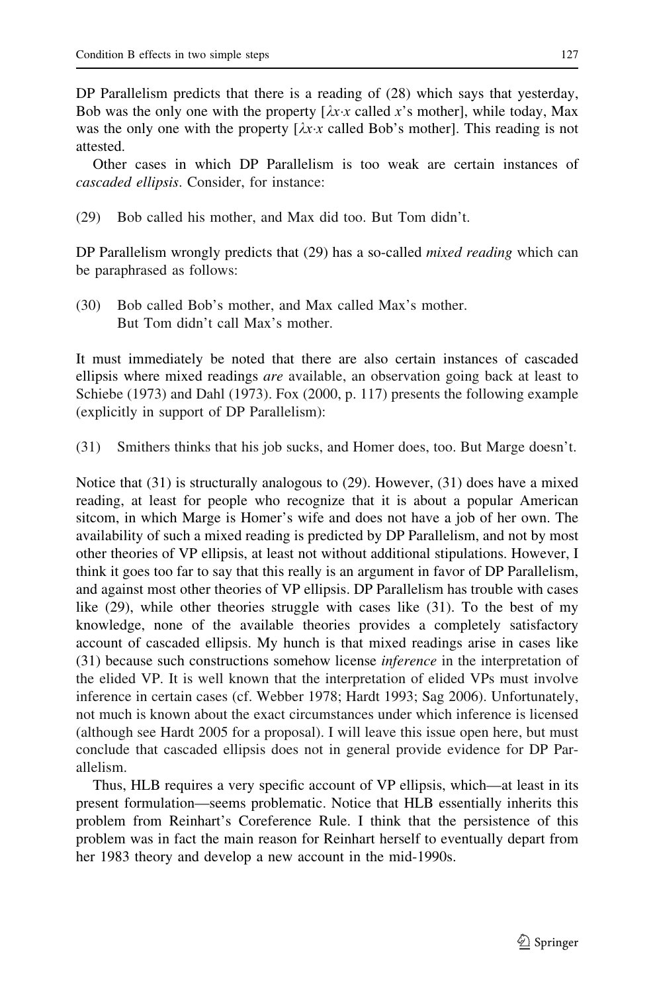DP Parallelism predicts that there is a reading of (28) which says that yesterday, Bob was the only one with the property  $[\lambda x \cdot x]$  called x's mother, while today, Max was the only one with the property  $[\lambda x \cdot x]$  called Bob's mother. This reading is not attested.

Other cases in which DP Parallelism is too weak are certain instances of cascaded ellipsis. Consider, for instance:

(29) Bob called his mother, and Max did too. But Tom didn't.

DP Parallelism wrongly predicts that (29) has a so-called *mixed reading* which can be paraphrased as follows:

(30) Bob called Bob's mother, and Max called Max's mother. But Tom didn't call Max's mother.

It must immediately be noted that there are also certain instances of cascaded ellipsis where mixed readings are available, an observation going back at least to Schiebe (1973) and Dahl (1973). Fox (2000, p. 117) presents the following example (explicitly in support of DP Parallelism):

(31) Smithers thinks that his job sucks, and Homer does, too. But Marge doesn't.

Notice that (31) is structurally analogous to (29). However, (31) does have a mixed reading, at least for people who recognize that it is about a popular American sitcom, in which Marge is Homer's wife and does not have a job of her own. The availability of such a mixed reading is predicted by DP Parallelism, and not by most other theories of VP ellipsis, at least not without additional stipulations. However, I think it goes too far to say that this really is an argument in favor of DP Parallelism, and against most other theories of VP ellipsis. DP Parallelism has trouble with cases like (29), while other theories struggle with cases like (31). To the best of my knowledge, none of the available theories provides a completely satisfactory account of cascaded ellipsis. My hunch is that mixed readings arise in cases like (31) because such constructions somehow license inference in the interpretation of the elided VP. It is well known that the interpretation of elided VPs must involve inference in certain cases (cf. Webber 1978; Hardt 1993; Sag 2006). Unfortunately, not much is known about the exact circumstances under which inference is licensed (although see Hardt 2005 for a proposal). I will leave this issue open here, but must conclude that cascaded ellipsis does not in general provide evidence for DP Parallelism.

Thus, HLB requires a very specific account of VP ellipsis, which—at least in its present formulation—seems problematic. Notice that HLB essentially inherits this problem from Reinhart's Coreference Rule. I think that the persistence of this problem was in fact the main reason for Reinhart herself to eventually depart from her 1983 theory and develop a new account in the mid-1990s.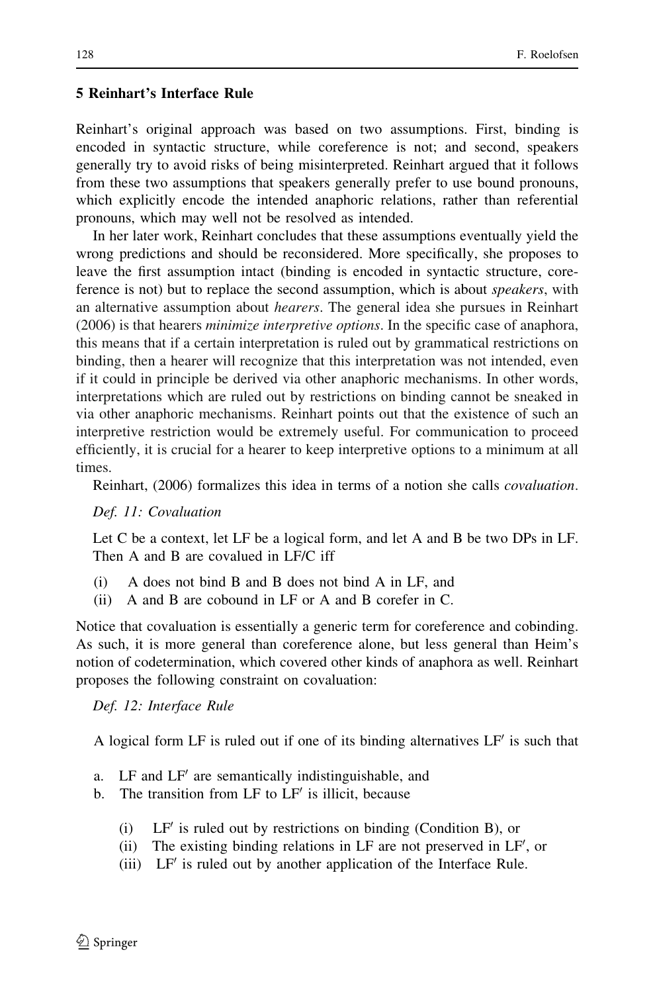#### 5 Reinhart's Interface Rule

Reinhart's original approach was based on two assumptions. First, binding is encoded in syntactic structure, while coreference is not; and second, speakers generally try to avoid risks of being misinterpreted. Reinhart argued that it follows from these two assumptions that speakers generally prefer to use bound pronouns, which explicitly encode the intended anaphoric relations, rather than referential pronouns, which may well not be resolved as intended.

In her later work, Reinhart concludes that these assumptions eventually yield the wrong predictions and should be reconsidered. More specifically, she proposes to leave the first assumption intact (binding is encoded in syntactic structure, coreference is not) but to replace the second assumption, which is about *speakers*, with an alternative assumption about *hearers*. The general idea she pursues in Reinhart (2006) is that hearers minimize interpretive options. In the specific case of anaphora, this means that if a certain interpretation is ruled out by grammatical restrictions on binding, then a hearer will recognize that this interpretation was not intended, even if it could in principle be derived via other anaphoric mechanisms. In other words, interpretations which are ruled out by restrictions on binding cannot be sneaked in via other anaphoric mechanisms. Reinhart points out that the existence of such an interpretive restriction would be extremely useful. For communication to proceed efficiently, it is crucial for a hearer to keep interpretive options to a minimum at all times.

Reinhart, (2006) formalizes this idea in terms of a notion she calls covaluation.

#### Def. 11: Covaluation

Let C be a context, let LF be a logical form, and let A and B be two DPs in LF. Then A and B are covalued in LF/C iff

- (i) A does not bind B and B does not bind A in LF, and
- (ii) A and B are cobound in LF or A and B corefer in C.

Notice that covaluation is essentially a generic term for coreference and cobinding. As such, it is more general than coreference alone, but less general than Heim's notion of codetermination, which covered other kinds of anaphora as well. Reinhart proposes the following constraint on covaluation:

Def. 12: Interface Rule

A logical form LF is ruled out if one of its binding alternatives  $LF'$  is such that

- a. LF and  $LF'$  are semantically indistinguishable, and
- b. The transition from  $LF$  to  $LF'$  is illicit, because
	- (i) LF' is ruled out by restrictions on binding (Condition B), or
	- (ii) The existing binding relations in LF are not preserved in LF', or
	- (iii)  $LF'$  is ruled out by another application of the Interface Rule.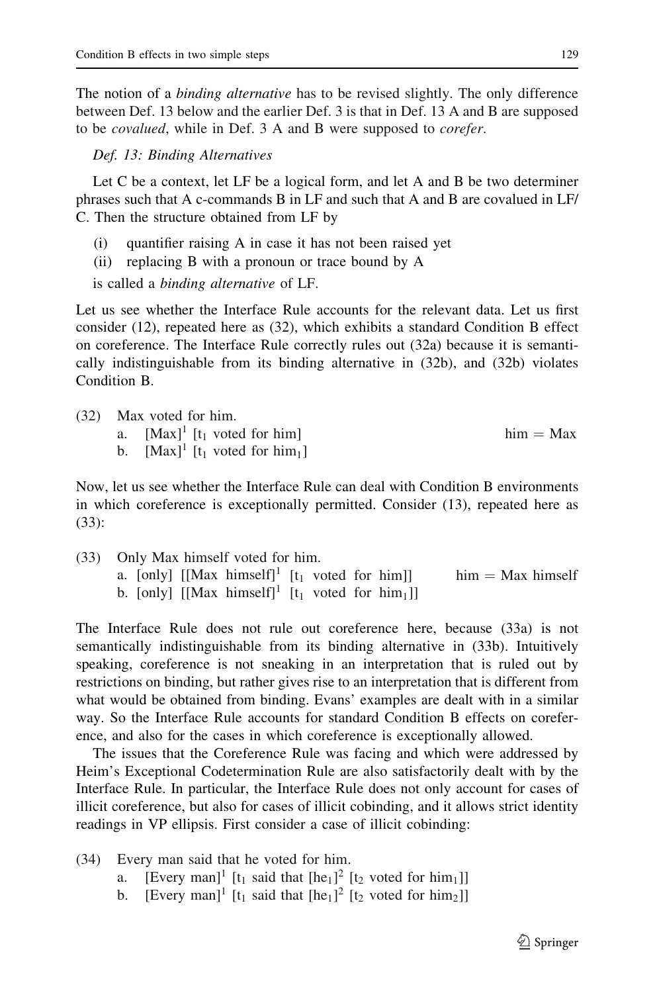The notion of a *binding alternative* has to be revised slightly. The only difference between Def. 13 below and the earlier Def. 3 is that in Def. 13 A and B are supposed to be covalued, while in Def. 3 A and B were supposed to corefer.

Def. 13: Binding Alternatives

Let C be a context, let LF be a logical form, and let A and B be two determiner phrases such that A c-commands B in LF and such that A and B are covalued in LF/ C. Then the structure obtained from LF by

- (i) quantifier raising A in case it has not been raised yet
- (ii) replacing B with a pronoun or trace bound by A

is called a binding alternative of LF.

Let us see whether the Interface Rule accounts for the relevant data. Let us first consider (12), repeated here as (32), which exhibits a standard Condition B effect on coreference. The Interface Rule correctly rules out (32a) because it is semantically indistinguishable from its binding alternative in (32b), and (32b) violates Condition B.

(32) Max voted for him.

 $[Max]$ <sup>1</sup> [t<sub>1</sub> voted for him] him = Max b.  $\left[\text{Max}\right]^{1}$   $\left[t_{1}\right]$  voted for him<sub>1</sub>]

Now, let us see whether the Interface Rule can deal with Condition B environments in which coreference is exceptionally permitted. Consider (13), repeated here as (33):

(33) Only Max himself voted for him. a. [only]  $\left[\text{Max himself}\right]^{1}$  [t<sub>1</sub> voted for him]] him = Max himself b. [only]  $[[Max \times 1]$  [t<sub>1</sub> voted for him<sub>1</sub>]]

The Interface Rule does not rule out coreference here, because (33a) is not semantically indistinguishable from its binding alternative in (33b). Intuitively speaking, coreference is not sneaking in an interpretation that is ruled out by restrictions on binding, but rather gives rise to an interpretation that is different from what would be obtained from binding. Evans' examples are dealt with in a similar way. So the Interface Rule accounts for standard Condition B effects on coreference, and also for the cases in which coreference is exceptionally allowed.

The issues that the Coreference Rule was facing and which were addressed by Heim's Exceptional Codetermination Rule are also satisfactorily dealt with by the Interface Rule. In particular, the Interface Rule does not only account for cases of illicit coreference, but also for cases of illicit cobinding, and it allows strict identity readings in VP ellipsis. First consider a case of illicit cobinding:

(34) Every man said that he voted for him.

- a. [Every man]<sup>1</sup> [t<sub>1</sub> said that [he<sub>1</sub>]<sup>2</sup> [t<sub>2</sub> voted for him<sub>1</sub>]]
- b. [Every man]<sup>1</sup> [t<sub>1</sub> said that [he<sub>1</sub>]<sup>2</sup> [t<sub>2</sub> voted for him<sub>2</sub>]]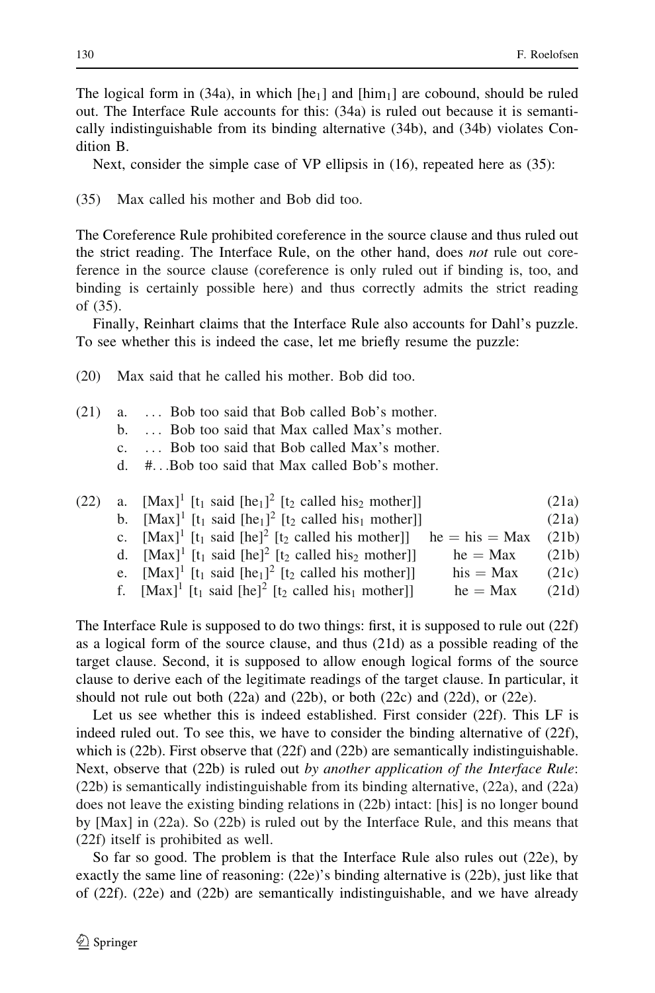The logical form in (34a), in which  $[he_1]$  and  $[him_1]$  are cobound, should be ruled out. The Interface Rule accounts for this: (34a) is ruled out because it is semantically indistinguishable from its binding alternative (34b), and (34b) violates Condition B.

Next, consider the simple case of VP ellipsis in (16), repeated here as (35):

(35) Max called his mother and Bob did too.

The Coreference Rule prohibited coreference in the source clause and thus ruled out the strict reading. The Interface Rule, on the other hand, does not rule out coreference in the source clause (coreference is only ruled out if binding is, too, and binding is certainly possible here) and thus correctly admits the strict reading of (35).

Finally, Reinhart claims that the Interface Rule also accounts for Dahl's puzzle. To see whether this is indeed the case, let me briefly resume the puzzle:

(20) Max said that he called his mother. Bob did too.

| (21) | $c_{\cdot}$<br>$d_{\rm{m}}$ | a Bob too said that Bob called Bob's mother.<br>b.  Bob too said that Max called Max's mother.<br>Bob too said that Bob called Max's mother.<br>#Bob too said that Max called Bob's mother. |       |
|------|-----------------------------|---------------------------------------------------------------------------------------------------------------------------------------------------------------------------------------------|-------|
| (22) |                             | a. $[Max]$ <sup>1</sup> [t <sub>1</sub> said [he <sub>1</sub> ] <sup>2</sup> [t <sub>2</sub> called his <sub>2</sub> mother]]                                                               | (21a) |
|      |                             | b. $\left[\text{Max}\right]^{1}$ $\left[t_1 \text{ said } \left[\text{he}_1\right]^{2} \left[t_2 \text{ called } \text{his}_1 \text{ mother}\right]\right]$                                 | (21a) |
|      | $c_{\cdot}$                 | $[Max]$ <sup>1</sup> [t <sub>1</sub> said [he] <sup>2</sup> [t <sub>2</sub> called his mother]] he = his = Max                                                                              | (21b) |
|      |                             | d. $\left[\text{Max}\right]^{1}$ $\left[t_{1} \text{ said } \left[\text{he}\right]^{2} \left[t_{2} \text{ called his}_{2} \text{ mother}\right]\right]$<br>$he = Max$                       | (21b) |
|      |                             | e. $\left[\text{Max}\right]^{1}$ $\left[t_1 \text{ said } \left[\text{he}_1\right]^{2} \left[t_2 \text{ called his mother}\right]\right]$<br>$his = Max$                                    | (21c) |
|      |                             | f. $[Max]$ <sup>1</sup> [t <sub>1</sub> said [he] <sup>2</sup> [t <sub>2</sub> called his <sub>1</sub> mother]]<br>$he = Max$                                                               | (21d) |

The Interface Rule is supposed to do two things: first, it is supposed to rule out (22f) as a logical form of the source clause, and thus (21d) as a possible reading of the target clause. Second, it is supposed to allow enough logical forms of the source clause to derive each of the legitimate readings of the target clause. In particular, it should not rule out both (22a) and (22b), or both (22c) and (22d), or (22e).

Let us see whether this is indeed established. First consider (22f). This LF is indeed ruled out. To see this, we have to consider the binding alternative of (22f), which is (22b). First observe that (22f) and (22b) are semantically indistinguishable. Next, observe that (22b) is ruled out by another application of the Interface Rule: (22b) is semantically indistinguishable from its binding alternative, (22a), and (22a) does not leave the existing binding relations in (22b) intact: [his] is no longer bound by [Max] in (22a). So (22b) is ruled out by the Interface Rule, and this means that (22f) itself is prohibited as well.

So far so good. The problem is that the Interface Rule also rules out (22e), by exactly the same line of reasoning: (22e)'s binding alternative is (22b), just like that of (22f). (22e) and (22b) are semantically indistinguishable, and we have already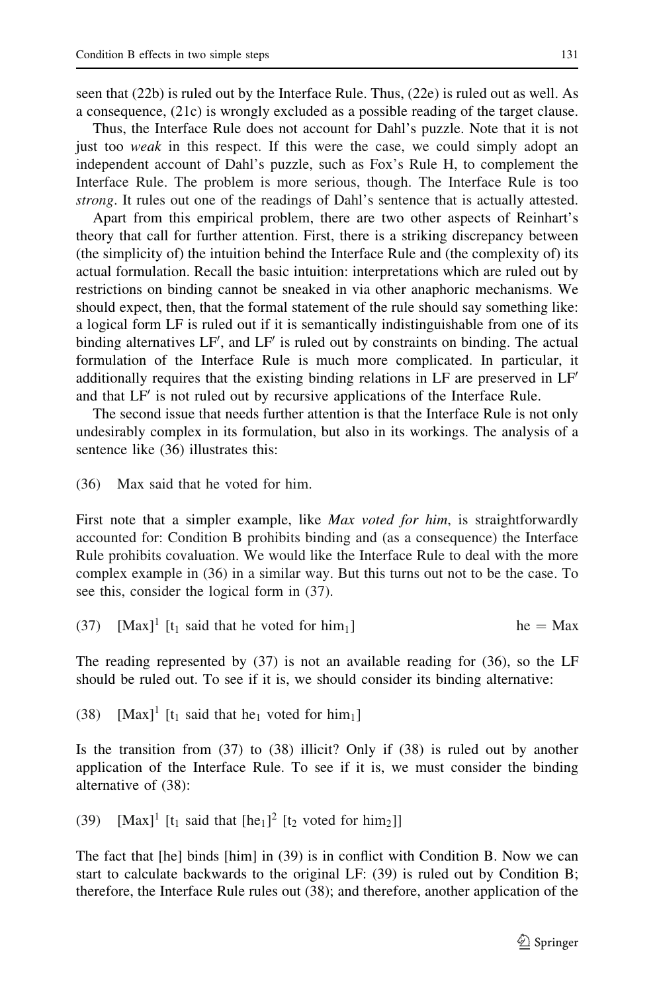seen that (22b) is ruled out by the Interface Rule. Thus, (22e) is ruled out as well. As a consequence, (21c) is wrongly excluded as a possible reading of the target clause.

Thus, the Interface Rule does not account for Dahl's puzzle. Note that it is not just too weak in this respect. If this were the case, we could simply adopt an independent account of Dahl's puzzle, such as Fox's Rule H, to complement the Interface Rule. The problem is more serious, though. The Interface Rule is too strong. It rules out one of the readings of Dahl's sentence that is actually attested.

Apart from this empirical problem, there are two other aspects of Reinhart's theory that call for further attention. First, there is a striking discrepancy between (the simplicity of) the intuition behind the Interface Rule and (the complexity of) its actual formulation. Recall the basic intuition: interpretations which are ruled out by restrictions on binding cannot be sneaked in via other anaphoric mechanisms. We should expect, then, that the formal statement of the rule should say something like: a logical form LF is ruled out if it is semantically indistinguishable from one of its binding alternatives LF', and LF' is ruled out by constraints on binding. The actual formulation of the Interface Rule is much more complicated. In particular, it additionally requires that the existing binding relations in LF are preserved in  $LF<sup>7</sup>$ and that  $LF'$  is not ruled out by recursive applications of the Interface Rule.

The second issue that needs further attention is that the Interface Rule is not only undesirably complex in its formulation, but also in its workings. The analysis of a sentence like (36) illustrates this:

(36) Max said that he voted for him.

First note that a simpler example, like *Max voted for him*, is straightforwardly accounted for: Condition B prohibits binding and (as a consequence) the Interface Rule prohibits covaluation. We would like the Interface Rule to deal with the more complex example in (36) in a similar way. But this turns out not to be the case. To see this, consider the logical form in (37).

(37)  $[Max]^1$  [t<sub>1</sub> said that he voted for him<sub>1</sub>] he = Max

The reading represented by (37) is not an available reading for (36), so the LF should be ruled out. To see if it is, we should consider its binding alternative:

(38)  $[Max]^1$  [t<sub>1</sub> said that he<sub>1</sub> voted for him<sub>1</sub>]

Is the transition from (37) to (38) illicit? Only if (38) is ruled out by another application of the Interface Rule. To see if it is, we must consider the binding alternative of (38):

(39) [Max]<sup>1</sup> [t<sub>1</sub> said that [he<sub>1</sub>]<sup>2</sup> [t<sub>2</sub> voted for him<sub>2</sub>]]

The fact that [he] binds [him] in (39) is in conflict with Condition B. Now we can start to calculate backwards to the original LF: (39) is ruled out by Condition B; therefore, the Interface Rule rules out (38); and therefore, another application of the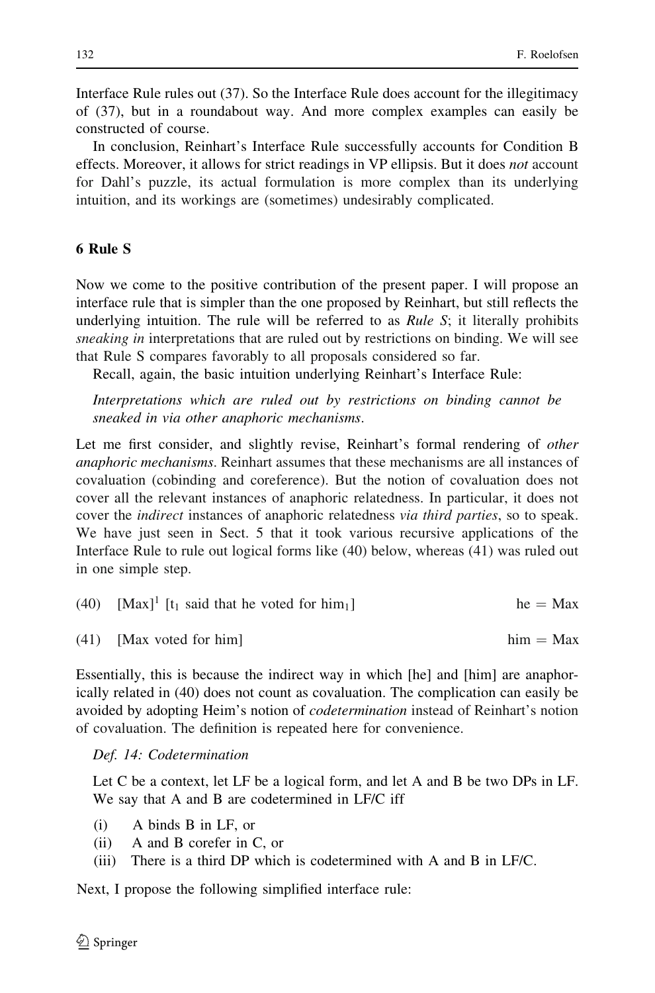Interface Rule rules out (37). So the Interface Rule does account for the illegitimacy of (37), but in a roundabout way. And more complex examples can easily be constructed of course.

In conclusion, Reinhart's Interface Rule successfully accounts for Condition B effects. Moreover, it allows for strict readings in VP ellipsis. But it does not account for Dahl's puzzle, its actual formulation is more complex than its underlying intuition, and its workings are (sometimes) undesirably complicated.

#### 6 Rule S

Now we come to the positive contribution of the present paper. I will propose an interface rule that is simpler than the one proposed by Reinhart, but still reflects the underlying intuition. The rule will be referred to as *Rule S*; it literally prohibits sneaking in interpretations that are ruled out by restrictions on binding. We will see that Rule S compares favorably to all proposals considered so far.

Recall, again, the basic intuition underlying Reinhart's Interface Rule:

Interpretations which are ruled out by restrictions on binding cannot be sneaked in via other anaphoric mechanisms.

Let me first consider, and slightly revise, Reinhart's formal rendering of *other* anaphoric mechanisms. Reinhart assumes that these mechanisms are all instances of covaluation (cobinding and coreference). But the notion of covaluation does not cover all the relevant instances of anaphoric relatedness. In particular, it does not cover the *indirect* instances of anaphoric relatedness *via third parties*, so to speak. We have just seen in Sect. 5 that it took various recursive applications of the Interface Rule to rule out logical forms like (40) below, whereas (41) was ruled out in one simple step.

| (40) $\left[\text{Max}\right]^{1}$ $\left[t_{1} \text{ said that he voted for him}_{1}\right]$ | $he = Max$  |
|------------------------------------------------------------------------------------------------|-------------|
| $(41)$ [Max voted for him]                                                                     | $him = Max$ |

Essentially, this is because the indirect way in which [he] and [him] are anaphorically related in (40) does not count as covaluation. The complication can easily be avoided by adopting Heim's notion of *codetermination* instead of Reinhart's notion of covaluation. The definition is repeated here for convenience.

Def. 14: Codetermination

Let C be a context, let LF be a logical form, and let A and B be two DPs in LF. We say that A and B are codetermined in LF/C iff

- (i) A binds B in LF, or
- (ii) A and B corefer in C, or
- (iii) There is a third DP which is codetermined with A and B in LF/C.

Next, I propose the following simplified interface rule: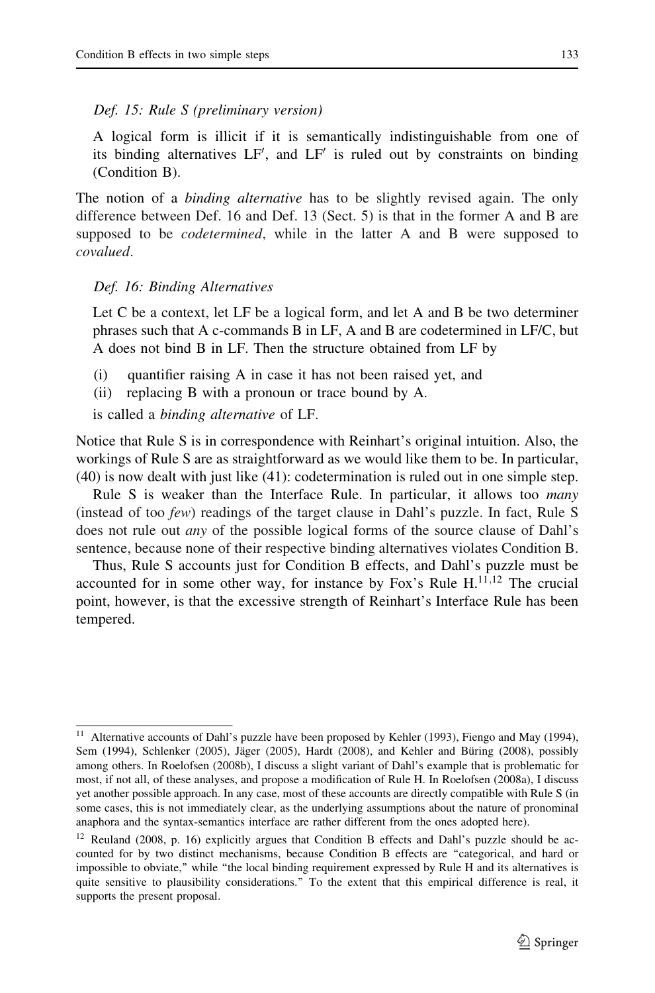#### Def. 15: Rule S (preliminary version)

A logical form is illicit if it is semantically indistinguishable from one of its binding alternatives  $LF'$ , and  $LF'$  is ruled out by constraints on binding (Condition B).

The notion of a *binding alternative* has to be slightly revised again. The only difference between Def. 16 and Def. 13 (Sect. 5) is that in the former A and B are supposed to be *codetermined*, while in the latter A and B were supposed to covalued.

#### Def. 16: Binding Alternatives

Let C be a context, let LF be a logical form, and let A and B be two determiner phrases such that A c-commands B in LF, A and B are codetermined in LF/C, but A does not bind B in LF. Then the structure obtained from LF by

- (i) quantifier raising A in case it has not been raised yet, and
- (ii) replacing B with a pronoun or trace bound by A.

is called a binding alternative of LF.

Notice that Rule S is in correspondence with Reinhart's original intuition. Also, the workings of Rule S are as straightforward as we would like them to be. In particular, (40) is now dealt with just like (41): codetermination is ruled out in one simple step.

Rule S is weaker than the Interface Rule. In particular, it allows too *many* (instead of too few) readings of the target clause in Dahl's puzzle. In fact, Rule S does not rule out *any* of the possible logical forms of the source clause of Dahl's sentence, because none of their respective binding alternatives violates Condition B.

Thus, Rule S accounts just for Condition B effects, and Dahl's puzzle must be accounted for in some other way, for instance by Fox's Rule  $H<sup>11,12</sup>$ . The crucial point, however, is that the excessive strength of Reinhart's Interface Rule has been tempered.

<sup>&</sup>lt;sup>11</sup> Alternative accounts of Dahl's puzzle have been proposed by Kehler (1993), Fiengo and May (1994), Sem (1994), Schlenker (2005), Jäger (2005), Hardt (2008), and Kehler and Büring (2008), possibly among others. In Roelofsen (2008b), I discuss a slight variant of Dahl's example that is problematic for most, if not all, of these analyses, and propose a modification of Rule H. In Roelofsen (2008a), I discuss yet another possible approach. In any case, most of these accounts are directly compatible with Rule S (in some cases, this is not immediately clear, as the underlying assumptions about the nature of pronominal anaphora and the syntax-semantics interface are rather different from the ones adopted here).

<sup>&</sup>lt;sup>12</sup> Reuland (2008, p. 16) explicitly argues that Condition B effects and Dahl's puzzle should be accounted for by two distinct mechanisms, because Condition B effects are ''categorical, and hard or impossible to obviate,'' while ''the local binding requirement expressed by Rule H and its alternatives is quite sensitive to plausibility considerations.'' To the extent that this empirical difference is real, it supports the present proposal.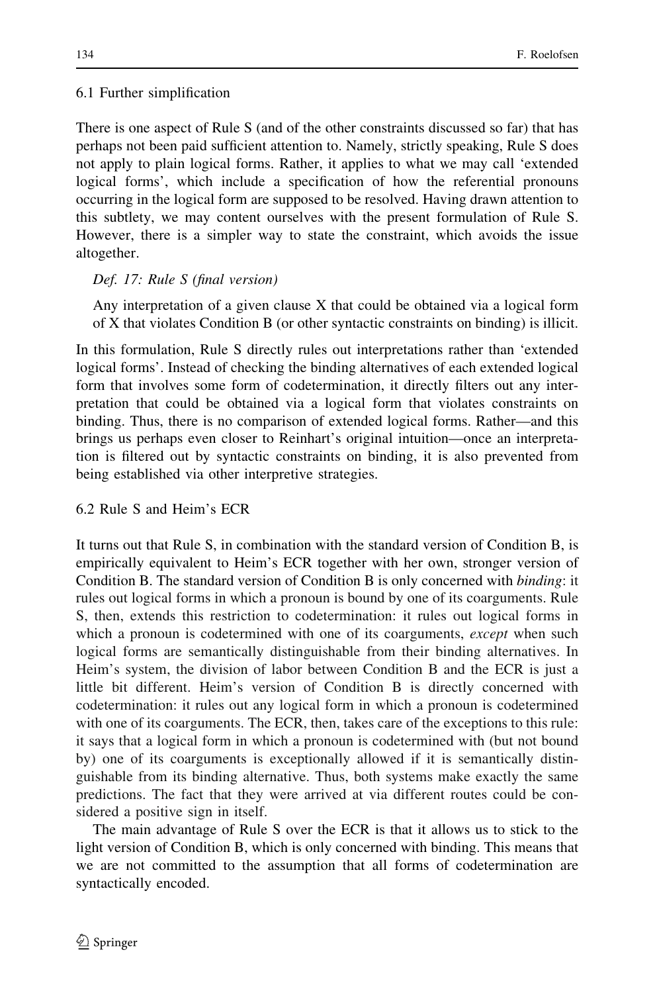## 6.1 Further simplification

There is one aspect of Rule S (and of the other constraints discussed so far) that has perhaps not been paid sufficient attention to. Namely, strictly speaking, Rule S does not apply to plain logical forms. Rather, it applies to what we may call 'extended logical forms', which include a specification of how the referential pronouns occurring in the logical form are supposed to be resolved. Having drawn attention to this subtlety, we may content ourselves with the present formulation of Rule S. However, there is a simpler way to state the constraint, which avoids the issue altogether.

## Def. 17: Rule S (final version)

Any interpretation of a given clause X that could be obtained via a logical form of X that violates Condition B (or other syntactic constraints on binding) is illicit.

In this formulation, Rule S directly rules out interpretations rather than 'extended logical forms'. Instead of checking the binding alternatives of each extended logical form that involves some form of codetermination, it directly filters out any interpretation that could be obtained via a logical form that violates constraints on binding. Thus, there is no comparison of extended logical forms. Rather—and this brings us perhaps even closer to Reinhart's original intuition—once an interpretation is filtered out by syntactic constraints on binding, it is also prevented from being established via other interpretive strategies.

## 6.2 Rule S and Heim's ECR

It turns out that Rule S, in combination with the standard version of Condition B, is empirically equivalent to Heim's ECR together with her own, stronger version of Condition B. The standard version of Condition B is only concerned with binding: it rules out logical forms in which a pronoun is bound by one of its coarguments. Rule S, then, extends this restriction to codetermination: it rules out logical forms in which a pronoun is codetermined with one of its coarguments, *except* when such logical forms are semantically distinguishable from their binding alternatives. In Heim's system, the division of labor between Condition B and the ECR is just a little bit different. Heim's version of Condition B is directly concerned with codetermination: it rules out any logical form in which a pronoun is codetermined with one of its coarguments. The ECR, then, takes care of the exceptions to this rule: it says that a logical form in which a pronoun is codetermined with (but not bound by) one of its coarguments is exceptionally allowed if it is semantically distinguishable from its binding alternative. Thus, both systems make exactly the same predictions. The fact that they were arrived at via different routes could be considered a positive sign in itself.

The main advantage of Rule S over the ECR is that it allows us to stick to the light version of Condition B, which is only concerned with binding. This means that we are not committed to the assumption that all forms of codetermination are syntactically encoded.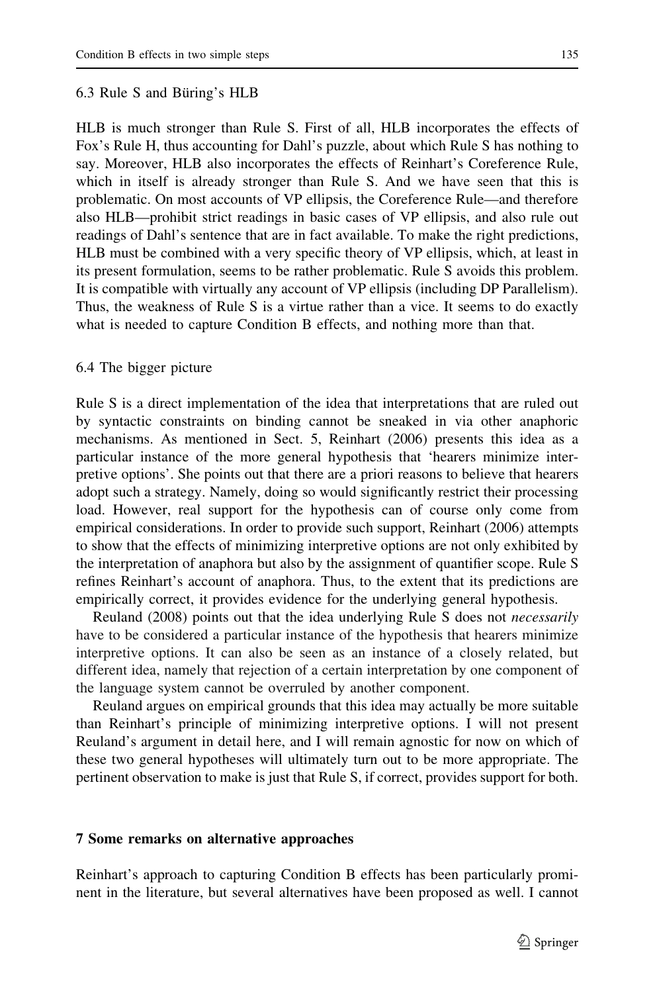HLB is much stronger than Rule S. First of all, HLB incorporates the effects of Fox's Rule H, thus accounting for Dahl's puzzle, about which Rule S has nothing to say. Moreover, HLB also incorporates the effects of Reinhart's Coreference Rule, which in itself is already stronger than Rule S. And we have seen that this is problematic. On most accounts of VP ellipsis, the Coreference Rule—and therefore also HLB—prohibit strict readings in basic cases of VP ellipsis, and also rule out readings of Dahl's sentence that are in fact available. To make the right predictions, HLB must be combined with a very specific theory of VP ellipsis, which, at least in its present formulation, seems to be rather problematic. Rule S avoids this problem. It is compatible with virtually any account of VP ellipsis (including DP Parallelism). Thus, the weakness of Rule S is a virtue rather than a vice. It seems to do exactly what is needed to capture Condition B effects, and nothing more than that.

#### 6.4 The bigger picture

Rule S is a direct implementation of the idea that interpretations that are ruled out by syntactic constraints on binding cannot be sneaked in via other anaphoric mechanisms. As mentioned in Sect. 5, Reinhart (2006) presents this idea as a particular instance of the more general hypothesis that 'hearers minimize interpretive options'. She points out that there are a priori reasons to believe that hearers adopt such a strategy. Namely, doing so would significantly restrict their processing load. However, real support for the hypothesis can of course only come from empirical considerations. In order to provide such support, Reinhart (2006) attempts to show that the effects of minimizing interpretive options are not only exhibited by the interpretation of anaphora but also by the assignment of quantifier scope. Rule S refines Reinhart's account of anaphora. Thus, to the extent that its predictions are empirically correct, it provides evidence for the underlying general hypothesis.

Reuland (2008) points out that the idea underlying Rule S does not necessarily have to be considered a particular instance of the hypothesis that hearers minimize interpretive options. It can also be seen as an instance of a closely related, but different idea, namely that rejection of a certain interpretation by one component of the language system cannot be overruled by another component.

Reuland argues on empirical grounds that this idea may actually be more suitable than Reinhart's principle of minimizing interpretive options. I will not present Reuland's argument in detail here, and I will remain agnostic for now on which of these two general hypotheses will ultimately turn out to be more appropriate. The pertinent observation to make is just that Rule S, if correct, provides support for both.

#### 7 Some remarks on alternative approaches

Reinhart's approach to capturing Condition B effects has been particularly prominent in the literature, but several alternatives have been proposed as well. I cannot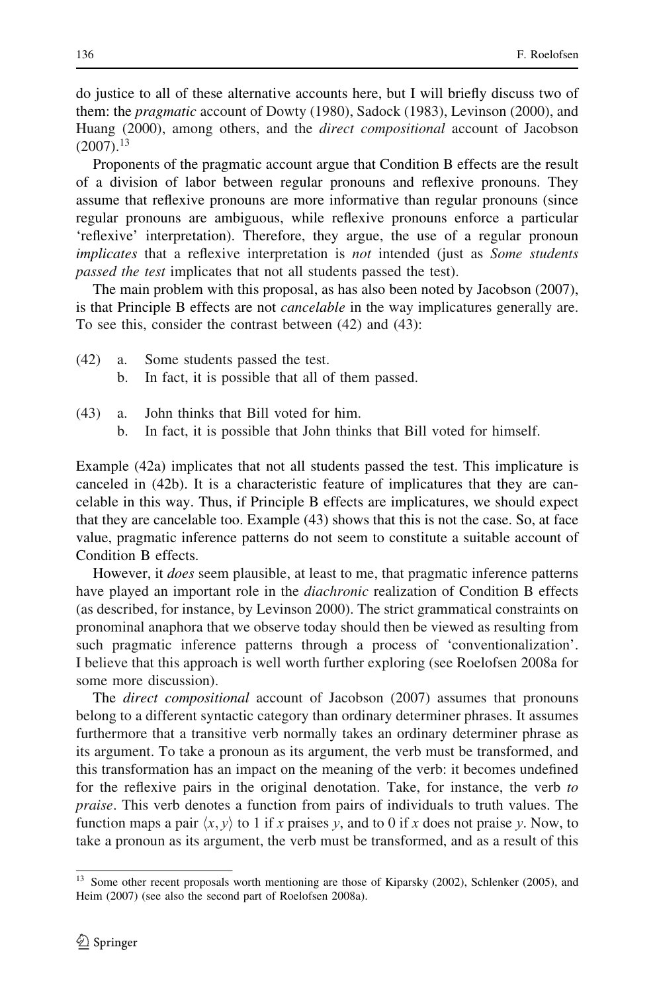do justice to all of these alternative accounts here, but I will briefly discuss two of them: the pragmatic account of Dowty (1980), Sadock (1983), Levinson (2000), and Huang (2000), among others, and the *direct compositional* account of Jacobson  $(2007).^{13}$ 

Proponents of the pragmatic account argue that Condition B effects are the result of a division of labor between regular pronouns and reflexive pronouns. They assume that reflexive pronouns are more informative than regular pronouns (since regular pronouns are ambiguous, while reflexive pronouns enforce a particular 'reflexive' interpretation). Therefore, they argue, the use of a regular pronoun implicates that a reflexive interpretation is not intended (just as Some students passed the test implicates that not all students passed the test).

The main problem with this proposal, as has also been noted by Jacobson (2007), is that Principle B effects are not *cancelable* in the way implicatures generally are. To see this, consider the contrast between (42) and (43):

- (42) a. Some students passed the test.
	- b. In fact, it is possible that all of them passed.
- (43) a. John thinks that Bill voted for him.
	- b. In fact, it is possible that John thinks that Bill voted for himself.

Example (42a) implicates that not all students passed the test. This implicature is canceled in (42b). It is a characteristic feature of implicatures that they are cancelable in this way. Thus, if Principle B effects are implicatures, we should expect that they are cancelable too. Example (43) shows that this is not the case. So, at face value, pragmatic inference patterns do not seem to constitute a suitable account of Condition B effects.

However, it *does* seem plausible, at least to me, that pragmatic inference patterns have played an important role in the *diachronic* realization of Condition B effects (as described, for instance, by Levinson 2000). The strict grammatical constraints on pronominal anaphora that we observe today should then be viewed as resulting from such pragmatic inference patterns through a process of 'conventionalization'. I believe that this approach is well worth further exploring (see Roelofsen 2008a for some more discussion).

The direct compositional account of Jacobson (2007) assumes that pronouns belong to a different syntactic category than ordinary determiner phrases. It assumes furthermore that a transitive verb normally takes an ordinary determiner phrase as its argument. To take a pronoun as its argument, the verb must be transformed, and this transformation has an impact on the meaning of the verb: it becomes undefined for the reflexive pairs in the original denotation. Take, for instance, the verb to praise. This verb denotes a function from pairs of individuals to truth values. The function maps a pair  $\langle x, y \rangle$  to 1 if x praises y, and to 0 if x does not praise y. Now, to take a pronoun as its argument, the verb must be transformed, and as a result of this

<sup>&</sup>lt;sup>13</sup> Some other recent proposals worth mentioning are those of Kiparsky (2002), Schlenker (2005), and Heim (2007) (see also the second part of Roelofsen 2008a).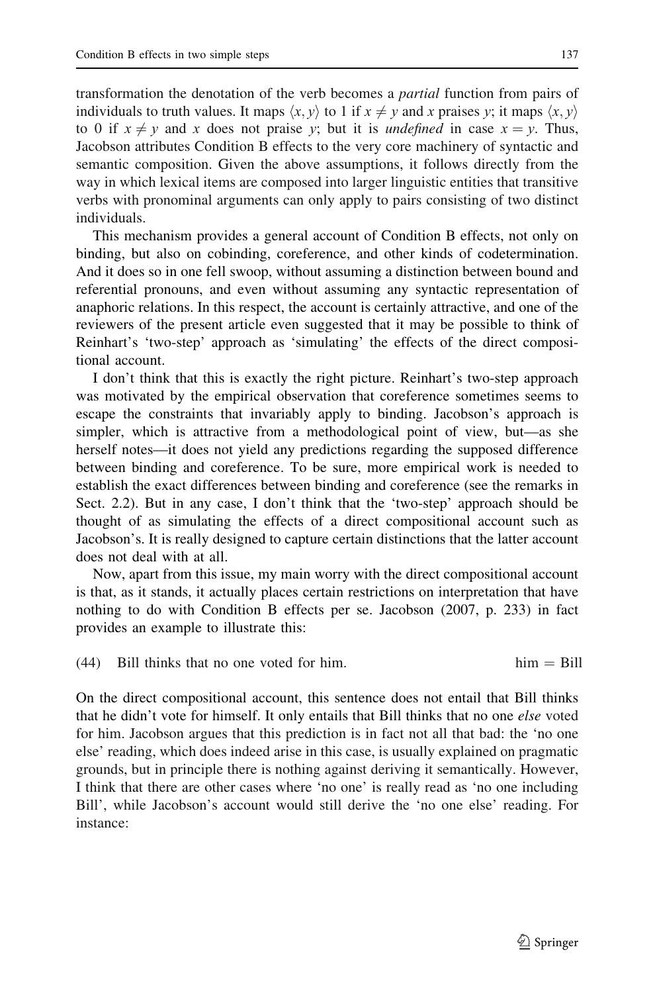transformation the denotation of the verb becomes a partial function from pairs of individuals to truth values. It maps  $\langle x, y \rangle$  to 1 if  $x \neq y$  and x praises y; it maps  $\langle x, y \rangle$ to 0 if  $x \neq y$  and x does not praise y; but it is *undefined* in case  $x = y$ . Thus, Jacobson attributes Condition B effects to the very core machinery of syntactic and semantic composition. Given the above assumptions, it follows directly from the way in which lexical items are composed into larger linguistic entities that transitive verbs with pronominal arguments can only apply to pairs consisting of two distinct individuals.

This mechanism provides a general account of Condition B effects, not only on binding, but also on cobinding, coreference, and other kinds of codetermination. And it does so in one fell swoop, without assuming a distinction between bound and referential pronouns, and even without assuming any syntactic representation of anaphoric relations. In this respect, the account is certainly attractive, and one of the reviewers of the present article even suggested that it may be possible to think of Reinhart's 'two-step' approach as 'simulating' the effects of the direct compositional account.

I don't think that this is exactly the right picture. Reinhart's two-step approach was motivated by the empirical observation that coreference sometimes seems to escape the constraints that invariably apply to binding. Jacobson's approach is simpler, which is attractive from a methodological point of view, but—as she herself notes—it does not yield any predictions regarding the supposed difference between binding and coreference. To be sure, more empirical work is needed to establish the exact differences between binding and coreference (see the remarks in Sect. 2.2). But in any case, I don't think that the 'two-step' approach should be thought of as simulating the effects of a direct compositional account such as Jacobson's. It is really designed to capture certain distinctions that the latter account does not deal with at all.

Now, apart from this issue, my main worry with the direct compositional account is that, as it stands, it actually places certain restrictions on interpretation that have nothing to do with Condition B effects per se. Jacobson (2007, p. 233) in fact provides an example to illustrate this:

(44) Bill thinks that no one voted for him. him  $=$  Bill

On the direct compositional account, this sentence does not entail that Bill thinks that he didn't vote for himself. It only entails that Bill thinks that no one else voted for him. Jacobson argues that this prediction is in fact not all that bad: the 'no one else' reading, which does indeed arise in this case, is usually explained on pragmatic grounds, but in principle there is nothing against deriving it semantically. However, I think that there are other cases where 'no one' is really read as 'no one including Bill', while Jacobson's account would still derive the 'no one else' reading. For instance: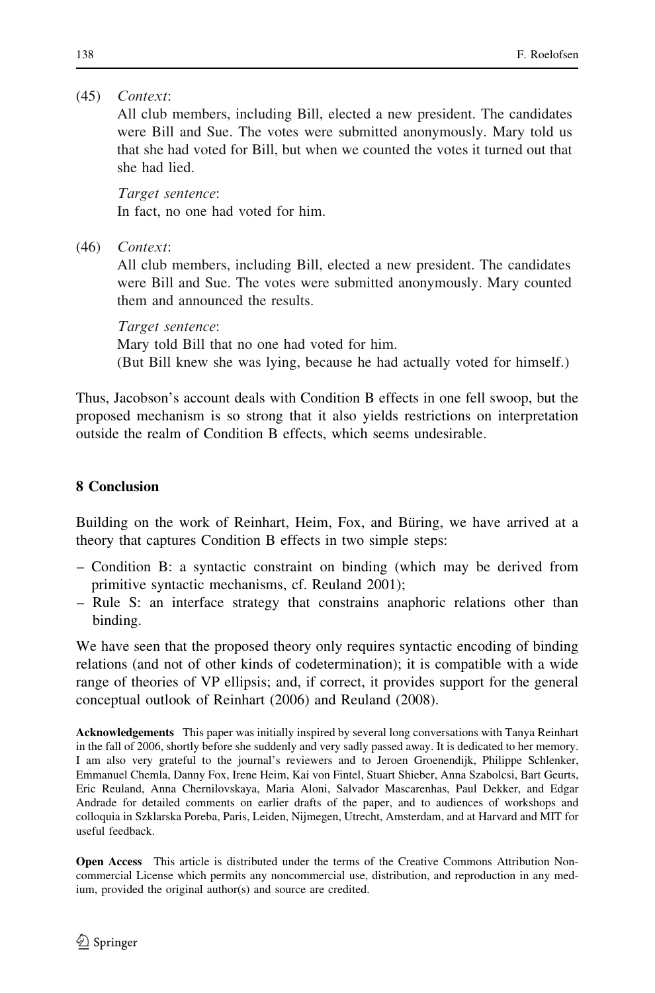#### (45) Context:

All club members, including Bill, elected a new president. The candidates were Bill and Sue. The votes were submitted anonymously. Mary told us that she had voted for Bill, but when we counted the votes it turned out that she had lied.

Target sentence: In fact, no one had voted for him.

(46) Context:

All club members, including Bill, elected a new president. The candidates were Bill and Sue. The votes were submitted anonymously. Mary counted them and announced the results.

Target sentence: Mary told Bill that no one had voted for him. (But Bill knew she was lying, because he had actually voted for himself.)

Thus, Jacobson's account deals with Condition B effects in one fell swoop, but the proposed mechanism is so strong that it also yields restrictions on interpretation outside the realm of Condition B effects, which seems undesirable.

## 8 Conclusion

Building on the work of Reinhart, Heim, Fox, and Büring, we have arrived at a theory that captures Condition B effects in two simple steps:

- Condition B: a syntactic constraint on binding (which may be derived from primitive syntactic mechanisms, cf. Reuland 2001);
- Rule S: an interface strategy that constrains anaphoric relations other than binding.

We have seen that the proposed theory only requires syntactic encoding of binding relations (and not of other kinds of codetermination); it is compatible with a wide range of theories of VP ellipsis; and, if correct, it provides support for the general conceptual outlook of Reinhart (2006) and Reuland (2008).

Acknowledgements This paper was initially inspired by several long conversations with Tanya Reinhart in the fall of 2006, shortly before she suddenly and very sadly passed away. It is dedicated to her memory. I am also very grateful to the journal's reviewers and to Jeroen Groenendijk, Philippe Schlenker, Emmanuel Chemla, Danny Fox, Irene Heim, Kai von Fintel, Stuart Shieber, Anna Szabolcsi, Bart Geurts, Eric Reuland, Anna Chernilovskaya, Maria Aloni, Salvador Mascarenhas, Paul Dekker, and Edgar Andrade for detailed comments on earlier drafts of the paper, and to audiences of workshops and colloquia in Szklarska Poreba, Paris, Leiden, Nijmegen, Utrecht, Amsterdam, and at Harvard and MIT for useful feedback.

Open Access This article is distributed under the terms of the Creative Commons Attribution Noncommercial License which permits any noncommercial use, distribution, and reproduction in any medium, provided the original author(s) and source are credited.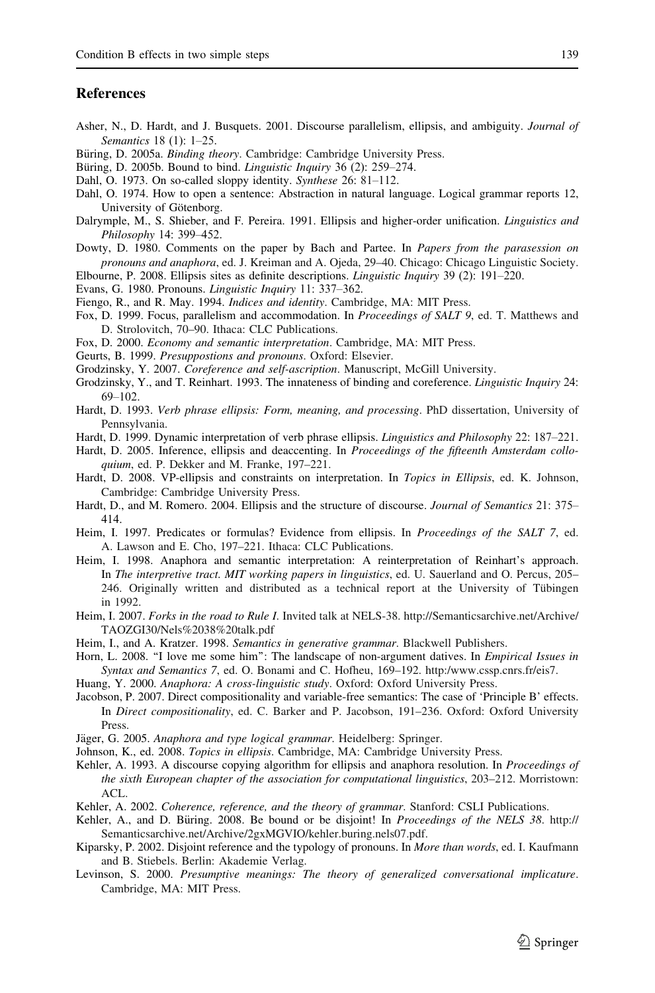#### **References**

- Asher, N., D. Hardt, and J. Busquets. 2001. Discourse parallelism, ellipsis, and ambiguity. Journal of Semantics 18 (1): 1–25.
- Büring, D. 2005a. Binding theory. Cambridge: Cambridge University Press.
- Büring, D. 2005b. Bound to bind. *Linguistic Inquiry* 36 (2): 259–274.
- Dahl, O. 1973. On so-called sloppy identity. Synthese 26: 81–112.
- Dahl, O. 1974. How to open a sentence: Abstraction in natural language. Logical grammar reports 12, University of Götenborg.
- Dalrymple, M., S. Shieber, and F. Pereira. 1991. Ellipsis and higher-order unification. Linguistics and Philosophy 14: 399–452.
- Dowty, D. 1980. Comments on the paper by Bach and Partee. In Papers from the parasession on pronouns and anaphora, ed. J. Kreiman and A. Ojeda, 29–40. Chicago: Chicago Linguistic Society.

Elbourne, P. 2008. Ellipsis sites as definite descriptions. Linguistic Inquiry 39 (2): 191–220.

- Evans, G. 1980. Pronouns. Linguistic Inquiry 11: 337–362.
- Fiengo, R., and R. May. 1994. Indices and identity. Cambridge, MA: MIT Press.
- Fox, D. 1999. Focus, parallelism and accommodation. In Proceedings of SALT 9, ed. T. Matthews and D. Strolovitch, 70–90. Ithaca: CLC Publications.
- Fox, D. 2000. Economy and semantic interpretation. Cambridge, MA: MIT Press.
- Geurts, B. 1999. Presuppostions and pronouns. Oxford: Elsevier.
- Grodzinsky, Y. 2007. Coreference and self-ascription. Manuscript, McGill University.
- Grodzinsky, Y., and T. Reinhart. 1993. The innateness of binding and coreference. *Linguistic Inquiry* 24: 69–102.
- Hardt, D. 1993. Verb phrase ellipsis: Form, meaning, and processing. PhD dissertation, University of Pennsylvania.
- Hardt, D. 1999. Dynamic interpretation of verb phrase ellipsis. Linguistics and Philosophy 22: 187–221.
- Hardt, D. 2005. Inference, ellipsis and deaccenting. In Proceedings of the fifteenth Amsterdam colloquium, ed. P. Dekker and M. Franke, 197–221.
- Hardt, D. 2008. VP-ellipsis and constraints on interpretation. In Topics in Ellipsis, ed. K. Johnson, Cambridge: Cambridge University Press.
- Hardt, D., and M. Romero. 2004. Ellipsis and the structure of discourse. Journal of Semantics 21: 375– 414.
- Heim, I. 1997. Predicates or formulas? Evidence from ellipsis. In *Proceedings of the SALT* 7, ed. A. Lawson and E. Cho, 197–221. Ithaca: CLC Publications.
- Heim, I. 1998. Anaphora and semantic interpretation: A reinterpretation of Reinhart's approach. In The interpretive tract. MIT working papers in linguistics, ed. U. Sauerland and O. Percus, 205–  $246$ . Originally written and distributed as a technical report at the University of Tübingen in 1992.
- Heim, I. 2007. Forks in the road to Rule I. Invited talk at NELS-38. http://Semanticsarchive.net/Archive/ TAOZGI30/Nels%2038%20talk.pdf
- Heim, I., and A. Kratzer. 1998. Semantics in generative grammar. Blackwell Publishers.
- Horn, L. 2008. "I love me some him": The landscape of non-argument datives. In *Empirical Issues in* Syntax and Semantics 7, ed. O. Bonami and C. Hofheu, 169–192. http:/www.cssp.cnrs.fr/eis7.
- Huang, Y. 2000. Anaphora: A cross-linguistic study. Oxford: Oxford University Press.
- Jacobson, P. 2007. Direct compositionality and variable-free semantics: The case of 'Principle B' effects. In Direct compositionality, ed. C. Barker and P. Jacobson, 191–236. Oxford: Oxford University Press.
- Jäger, G. 2005. Anaphora and type logical grammar. Heidelberg: Springer.
- Johnson, K., ed. 2008. Topics in ellipsis. Cambridge, MA: Cambridge University Press.
- Kehler, A. 1993. A discourse copying algorithm for ellipsis and anaphora resolution. In Proceedings of the sixth European chapter of the association for computational linguistics, 203–212. Morristown: ACL.
- Kehler, A. 2002. Coherence, reference, and the theory of grammar. Stanford: CSLI Publications.
- Kehler, A., and D. Büring. 2008. Be bound or be disjoint! In Proceedings of the NELS 38. http:// Semanticsarchive.net/Archive/2gxMGVIO/kehler.buring.nels07.pdf.
- Kiparsky, P. 2002. Disjoint reference and the typology of pronouns. In *More than words*, ed. I. Kaufmann and B. Stiebels. Berlin: Akademie Verlag.
- Levinson, S. 2000. Presumptive meanings: The theory of generalized conversational implicature. Cambridge, MA: MIT Press.